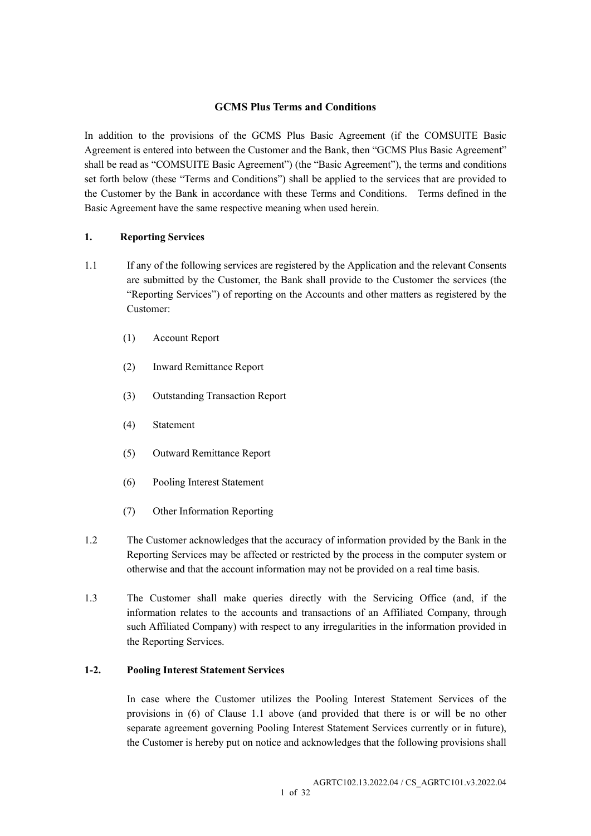## GCMS Plus Terms and Conditions

In addition to the provisions of the GCMS Plus Basic Agreement (if the COMSUITE Basic Agreement is entered into between the Customer and the Bank, then "GCMS Plus Basic Agreement" shall be read as "COMSUITE Basic Agreement") (the "Basic Agreement"), the terms and conditions set forth below (these "Terms and Conditions") shall be applied to the services that are provided to the Customer by the Bank in accordance with these Terms and Conditions. Terms defined in the Basic Agreement have the same respective meaning when used herein.

## 1. Reporting Services

- 1.1 If any of the following services are registered by the Application and the relevant Consents are submitted by the Customer, the Bank shall provide to the Customer the services (the "Reporting Services") of reporting on the Accounts and other matters as registered by the Customer:
	- (1) Account Report
	- (2) Inward Remittance Report
	- (3) Outstanding Transaction Report
	- (4) Statement
	- (5) Outward Remittance Report
	- (6) Pooling Interest Statement
	- (7) Other Information Reporting
- 1.2 The Customer acknowledges that the accuracy of information provided by the Bank in the Reporting Services may be affected or restricted by the process in the computer system or otherwise and that the account information may not be provided on a real time basis.
- 1.3 The Customer shall make queries directly with the Servicing Office (and, if the information relates to the accounts and transactions of an Affiliated Company, through such Affiliated Company) with respect to any irregularities in the information provided in the Reporting Services.

## 1-2. Pooling Interest Statement Services

 In case where the Customer utilizes the Pooling Interest Statement Services of the provisions in (6) of Clause 1.1 above (and provided that there is or will be no other separate agreement governing Pooling Interest Statement Services currently or in future), the Customer is hereby put on notice and acknowledges that the following provisions shall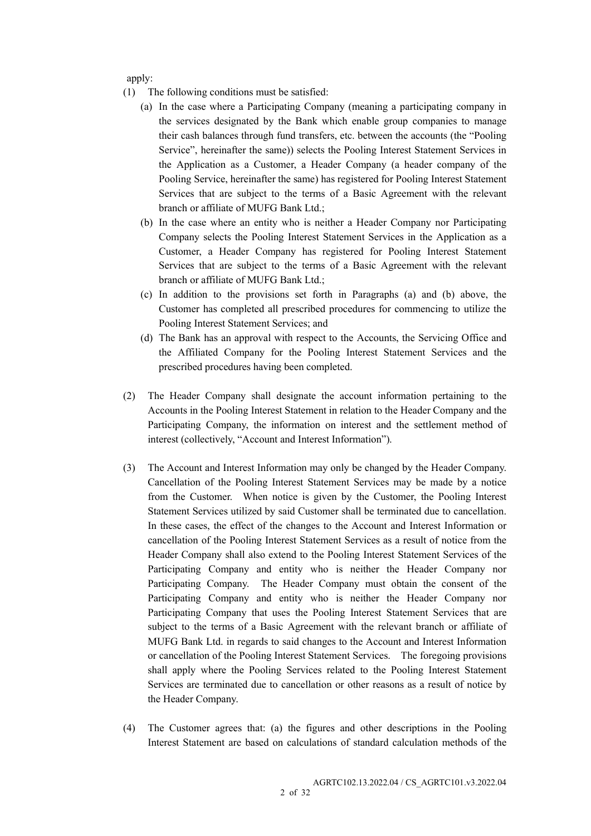apply:

- (1) The following conditions must be satisfied:
	- (a) In the case where a Participating Company (meaning a participating company in the services designated by the Bank which enable group companies to manage their cash balances through fund transfers, etc. between the accounts (the "Pooling Service", hereinafter the same)) selects the Pooling Interest Statement Services in the Application as a Customer, a Header Company (a header company of the Pooling Service, hereinafter the same) has registered for Pooling Interest Statement Services that are subject to the terms of a Basic Agreement with the relevant branch or affiliate of MUFG Bank Ltd.;
	- (b) In the case where an entity who is neither a Header Company nor Participating Company selects the Pooling Interest Statement Services in the Application as a Customer, a Header Company has registered for Pooling Interest Statement Services that are subject to the terms of a Basic Agreement with the relevant branch or affiliate of MUFG Bank Ltd.;
	- (c) In addition to the provisions set forth in Paragraphs (a) and (b) above, the Customer has completed all prescribed procedures for commencing to utilize the Pooling Interest Statement Services; and
	- (d) The Bank has an approval with respect to the Accounts, the Servicing Office and the Affiliated Company for the Pooling Interest Statement Services and the prescribed procedures having been completed.
- (2) The Header Company shall designate the account information pertaining to the Accounts in the Pooling Interest Statement in relation to the Header Company and the Participating Company, the information on interest and the settlement method of interest (collectively, "Account and Interest Information").
- (3) The Account and Interest Information may only be changed by the Header Company. Cancellation of the Pooling Interest Statement Services may be made by a notice from the Customer. When notice is given by the Customer, the Pooling Interest Statement Services utilized by said Customer shall be terminated due to cancellation. In these cases, the effect of the changes to the Account and Interest Information or cancellation of the Pooling Interest Statement Services as a result of notice from the Header Company shall also extend to the Pooling Interest Statement Services of the Participating Company and entity who is neither the Header Company nor Participating Company. The Header Company must obtain the consent of the Participating Company and entity who is neither the Header Company nor Participating Company that uses the Pooling Interest Statement Services that are subject to the terms of a Basic Agreement with the relevant branch or affiliate of MUFG Bank Ltd. in regards to said changes to the Account and Interest Information or cancellation of the Pooling Interest Statement Services. The foregoing provisions shall apply where the Pooling Services related to the Pooling Interest Statement Services are terminated due to cancellation or other reasons as a result of notice by the Header Company.
- (4) The Customer agrees that: (a) the figures and other descriptions in the Pooling Interest Statement are based on calculations of standard calculation methods of the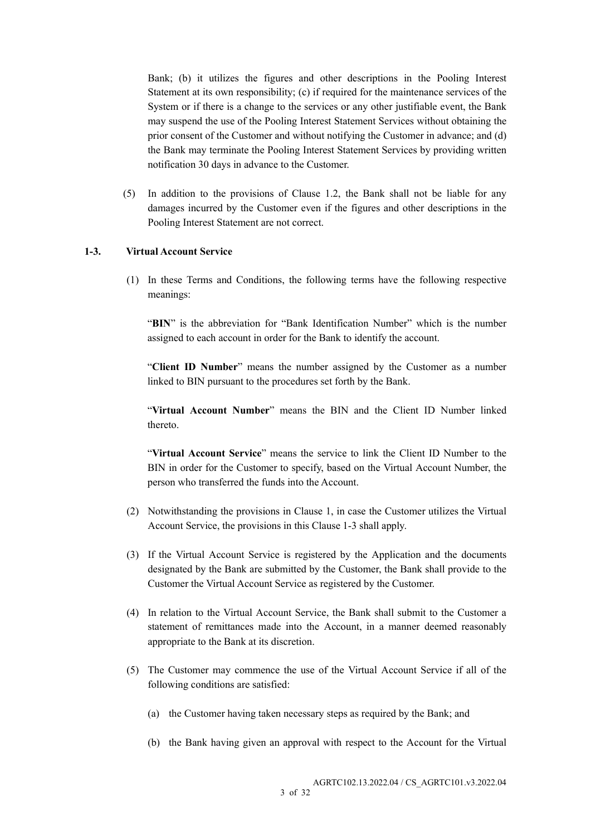Bank; (b) it utilizes the figures and other descriptions in the Pooling Interest Statement at its own responsibility; (c) if required for the maintenance services of the System or if there is a change to the services or any other justifiable event, the Bank may suspend the use of the Pooling Interest Statement Services without obtaining the prior consent of the Customer and without notifying the Customer in advance; and (d) the Bank may terminate the Pooling Interest Statement Services by providing written notification 30 days in advance to the Customer.

(5) In addition to the provisions of Clause 1.2, the Bank shall not be liable for any damages incurred by the Customer even if the figures and other descriptions in the Pooling Interest Statement are not correct.

#### 1-3. Virtual Account Service

(1) In these Terms and Conditions, the following terms have the following respective meanings:

"BIN" is the abbreviation for "Bank Identification Number" which is the number assigned to each account in order for the Bank to identify the account.

"Client ID Number" means the number assigned by the Customer as a number linked to BIN pursuant to the procedures set forth by the Bank.

"Virtual Account Number" means the BIN and the Client ID Number linked thereto.

"Virtual Account Service" means the service to link the Client ID Number to the BIN in order for the Customer to specify, based on the Virtual Account Number, the person who transferred the funds into the Account.

- (2) Notwithstanding the provisions in Clause 1, in case the Customer utilizes the Virtual Account Service, the provisions in this Clause 1-3 shall apply.
- (3) If the Virtual Account Service is registered by the Application and the documents designated by the Bank are submitted by the Customer, the Bank shall provide to the Customer the Virtual Account Service as registered by the Customer.
- (4) In relation to the Virtual Account Service, the Bank shall submit to the Customer a statement of remittances made into the Account, in a manner deemed reasonably appropriate to the Bank at its discretion.
- (5) The Customer may commence the use of the Virtual Account Service if all of the following conditions are satisfied:
	- (a) the Customer having taken necessary steps as required by the Bank; and
	- (b) the Bank having given an approval with respect to the Account for the Virtual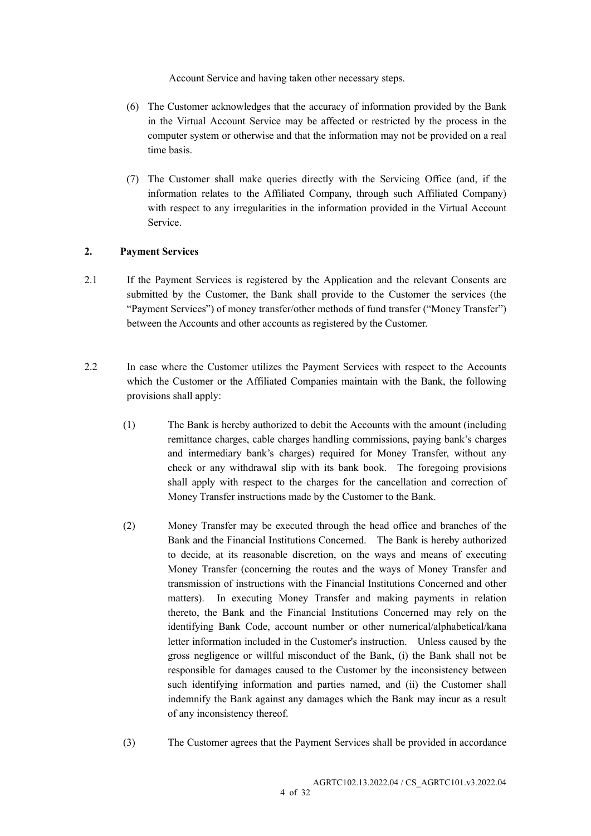Account Service and having taken other necessary steps.

- (6) The Customer acknowledges that the accuracy of information provided by the Bank in the Virtual Account Service may be affected or restricted by the process in the computer system or otherwise and that the information may not be provided on a real time basis.
- (7) The Customer shall make queries directly with the Servicing Office (and, if the information relates to the Affiliated Company, through such Affiliated Company) with respect to any irregularities in the information provided in the Virtual Account Service.

## 2. Payment Services

- 2.1 If the Payment Services is registered by the Application and the relevant Consents are submitted by the Customer, the Bank shall provide to the Customer the services (the "Payment Services") of money transfer/other methods of fund transfer ("Money Transfer") between the Accounts and other accounts as registered by the Customer.
- 2.2 In case where the Customer utilizes the Payment Services with respect to the Accounts which the Customer or the Affiliated Companies maintain with the Bank, the following provisions shall apply:
	- (1) The Bank is hereby authorized to debit the Accounts with the amount (including remittance charges, cable charges handling commissions, paying bank's charges and intermediary bank's charges) required for Money Transfer, without any check or any withdrawal slip with its bank book. The foregoing provisions shall apply with respect to the charges for the cancellation and correction of Money Transfer instructions made by the Customer to the Bank.
	- (2) Money Transfer may be executed through the head office and branches of the Bank and the Financial Institutions Concerned. The Bank is hereby authorized to decide, at its reasonable discretion, on the ways and means of executing Money Transfer (concerning the routes and the ways of Money Transfer and transmission of instructions with the Financial Institutions Concerned and other matters). In executing Money Transfer and making payments in relation thereto, the Bank and the Financial Institutions Concerned may rely on the identifying Bank Code, account number or other numerical/alphabetical/kana letter information included in the Customer's instruction. Unless caused by the gross negligence or willful misconduct of the Bank, (i) the Bank shall not be responsible for damages caused to the Customer by the inconsistency between such identifying information and parties named, and (ii) the Customer shall indemnify the Bank against any damages which the Bank may incur as a result of any inconsistency thereof.
	- (3) The Customer agrees that the Payment Services shall be provided in accordance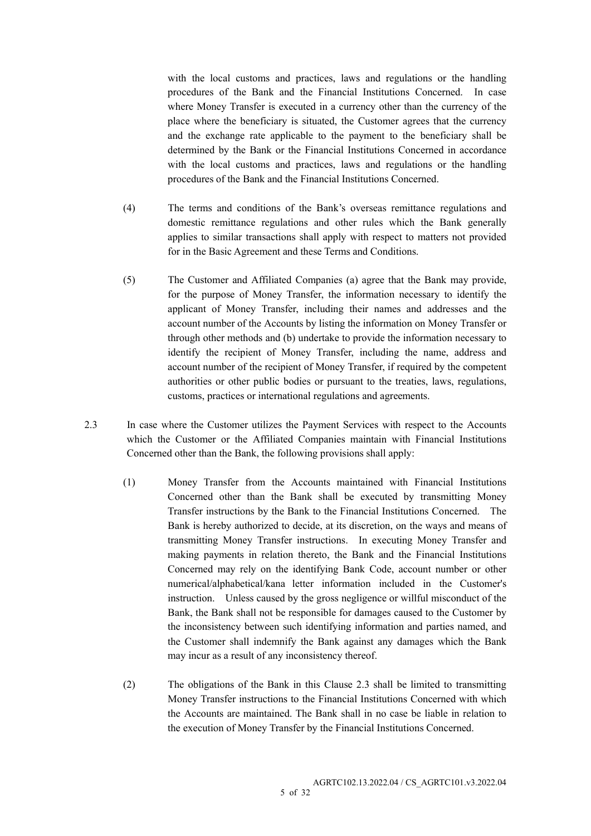with the local customs and practices, laws and regulations or the handling procedures of the Bank and the Financial Institutions Concerned. In case where Money Transfer is executed in a currency other than the currency of the place where the beneficiary is situated, the Customer agrees that the currency and the exchange rate applicable to the payment to the beneficiary shall be determined by the Bank or the Financial Institutions Concerned in accordance with the local customs and practices, laws and regulations or the handling procedures of the Bank and the Financial Institutions Concerned.

- (4) The terms and conditions of the Bank's overseas remittance regulations and domestic remittance regulations and other rules which the Bank generally applies to similar transactions shall apply with respect to matters not provided for in the Basic Agreement and these Terms and Conditions.
- (5) The Customer and Affiliated Companies (a) agree that the Bank may provide, for the purpose of Money Transfer, the information necessary to identify the applicant of Money Transfer, including their names and addresses and the account number of the Accounts by listing the information on Money Transfer or through other methods and (b) undertake to provide the information necessary to identify the recipient of Money Transfer, including the name, address and account number of the recipient of Money Transfer, if required by the competent authorities or other public bodies or pursuant to the treaties, laws, regulations, customs, practices or international regulations and agreements.
- 2.3 In case where the Customer utilizes the Payment Services with respect to the Accounts which the Customer or the Affiliated Companies maintain with Financial Institutions Concerned other than the Bank, the following provisions shall apply:
	- (1) Money Transfer from the Accounts maintained with Financial Institutions Concerned other than the Bank shall be executed by transmitting Money Transfer instructions by the Bank to the Financial Institutions Concerned. The Bank is hereby authorized to decide, at its discretion, on the ways and means of transmitting Money Transfer instructions. In executing Money Transfer and making payments in relation thereto, the Bank and the Financial Institutions Concerned may rely on the identifying Bank Code, account number or other numerical/alphabetical/kana letter information included in the Customer's instruction. Unless caused by the gross negligence or willful misconduct of the Bank, the Bank shall not be responsible for damages caused to the Customer by the inconsistency between such identifying information and parties named, and the Customer shall indemnify the Bank against any damages which the Bank may incur as a result of any inconsistency thereof.
	- (2) The obligations of the Bank in this Clause 2.3 shall be limited to transmitting Money Transfer instructions to the Financial Institutions Concerned with which the Accounts are maintained. The Bank shall in no case be liable in relation to the execution of Money Transfer by the Financial Institutions Concerned.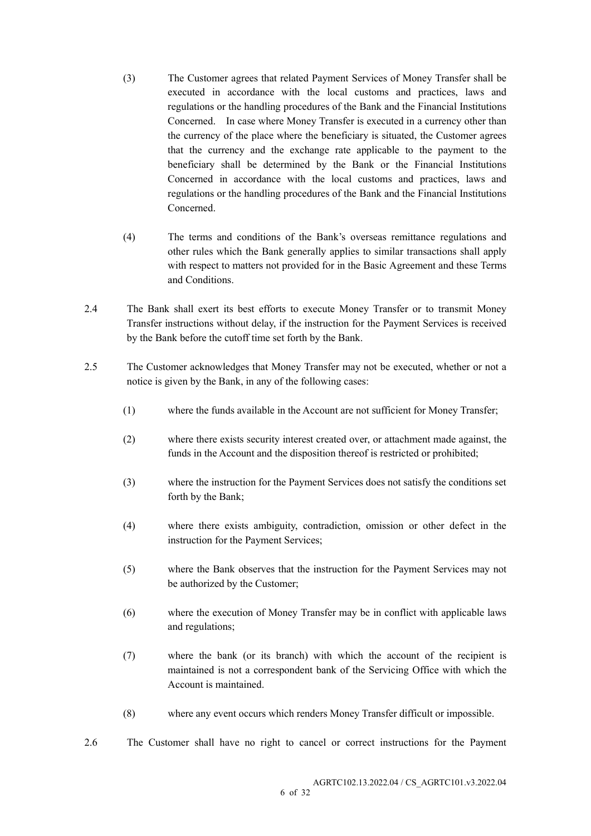- (3) The Customer agrees that related Payment Services of Money Transfer shall be executed in accordance with the local customs and practices, laws and regulations or the handling procedures of the Bank and the Financial Institutions Concerned. In case where Money Transfer is executed in a currency other than the currency of the place where the beneficiary is situated, the Customer agrees that the currency and the exchange rate applicable to the payment to the beneficiary shall be determined by the Bank or the Financial Institutions Concerned in accordance with the local customs and practices, laws and regulations or the handling procedures of the Bank and the Financial Institutions Concerned.
- (4) The terms and conditions of the Bank's overseas remittance regulations and other rules which the Bank generally applies to similar transactions shall apply with respect to matters not provided for in the Basic Agreement and these Terms and Conditions.
- 2.4 The Bank shall exert its best efforts to execute Money Transfer or to transmit Money Transfer instructions without delay, if the instruction for the Payment Services is received by the Bank before the cutoff time set forth by the Bank.
- 2.5 The Customer acknowledges that Money Transfer may not be executed, whether or not a notice is given by the Bank, in any of the following cases:
	- (1) where the funds available in the Account are not sufficient for Money Transfer;
	- (2) where there exists security interest created over, or attachment made against, the funds in the Account and the disposition thereof is restricted or prohibited;
	- (3) where the instruction for the Payment Services does not satisfy the conditions set forth by the Bank;
	- (4) where there exists ambiguity, contradiction, omission or other defect in the instruction for the Payment Services;
	- (5) where the Bank observes that the instruction for the Payment Services may not be authorized by the Customer;
	- (6) where the execution of Money Transfer may be in conflict with applicable laws and regulations;
	- (7) where the bank (or its branch) with which the account of the recipient is maintained is not a correspondent bank of the Servicing Office with which the Account is maintained.
	- (8) where any event occurs which renders Money Transfer difficult or impossible.
- 2.6 The Customer shall have no right to cancel or correct instructions for the Payment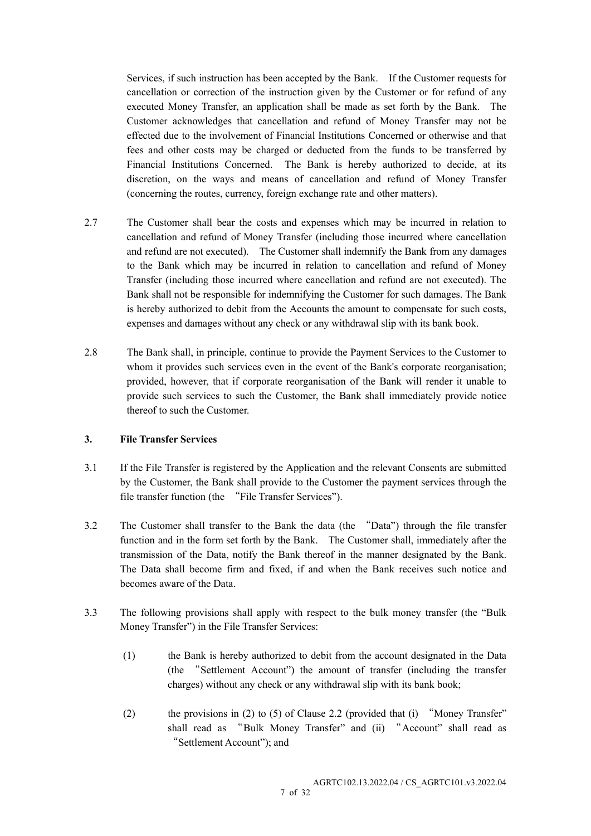Services, if such instruction has been accepted by the Bank. If the Customer requests for cancellation or correction of the instruction given by the Customer or for refund of any executed Money Transfer, an application shall be made as set forth by the Bank. The Customer acknowledges that cancellation and refund of Money Transfer may not be effected due to the involvement of Financial Institutions Concerned or otherwise and that fees and other costs may be charged or deducted from the funds to be transferred by Financial Institutions Concerned. The Bank is hereby authorized to decide, at its discretion, on the ways and means of cancellation and refund of Money Transfer (concerning the routes, currency, foreign exchange rate and other matters).

- 2.7 The Customer shall bear the costs and expenses which may be incurred in relation to cancellation and refund of Money Transfer (including those incurred where cancellation and refund are not executed). The Customer shall indemnify the Bank from any damages to the Bank which may be incurred in relation to cancellation and refund of Money Transfer (including those incurred where cancellation and refund are not executed). The Bank shall not be responsible for indemnifying the Customer for such damages. The Bank is hereby authorized to debit from the Accounts the amount to compensate for such costs, expenses and damages without any check or any withdrawal slip with its bank book.
- 2.8 The Bank shall, in principle, continue to provide the Payment Services to the Customer to whom it provides such services even in the event of the Bank's corporate reorganisation; provided, however, that if corporate reorganisation of the Bank will render it unable to provide such services to such the Customer, the Bank shall immediately provide notice thereof to such the Customer.

## 3. File Transfer Services

- 3.1 If the File Transfer is registered by the Application and the relevant Consents are submitted by the Customer, the Bank shall provide to the Customer the payment services through the file transfer function (the "File Transfer Services").
- 3.2 The Customer shall transfer to the Bank the data (the "Data") through the file transfer function and in the form set forth by the Bank. The Customer shall, immediately after the transmission of the Data, notify the Bank thereof in the manner designated by the Bank. The Data shall become firm and fixed, if and when the Bank receives such notice and becomes aware of the Data.
- 3.3 The following provisions shall apply with respect to the bulk money transfer (the "Bulk Money Transfer") in the File Transfer Services:
	- (1) the Bank is hereby authorized to debit from the account designated in the Data (the "Settlement Account") the amount of transfer (including the transfer charges) without any check or any withdrawal slip with its bank book;
	- (2) the provisions in (2) to (5) of Clause 2.2 (provided that (i) "Money Transfer" shall read as "Bulk Money Transfer" and (ii) "Account" shall read as "Settlement Account"); and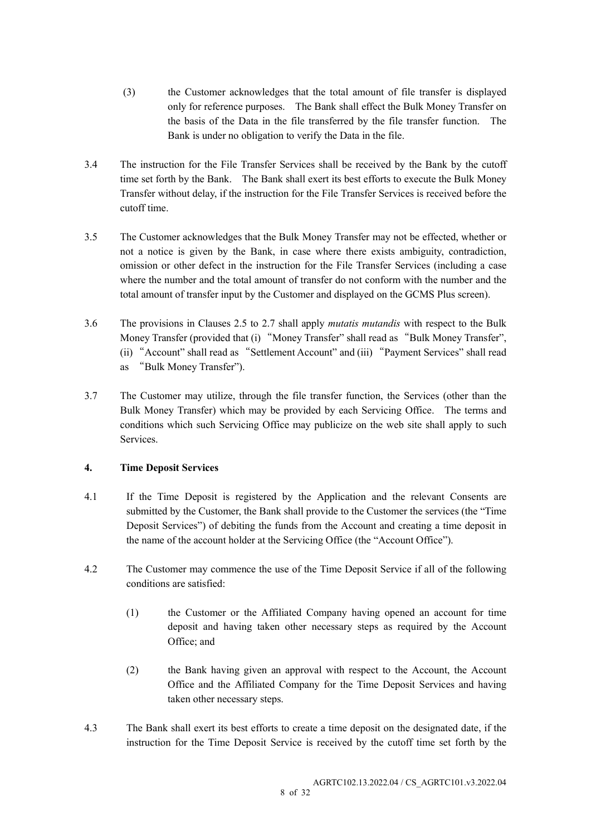- (3) the Customer acknowledges that the total amount of file transfer is displayed only for reference purposes. The Bank shall effect the Bulk Money Transfer on the basis of the Data in the file transferred by the file transfer function. The Bank is under no obligation to verify the Data in the file.
- 3.4 The instruction for the File Transfer Services shall be received by the Bank by the cutoff time set forth by the Bank. The Bank shall exert its best efforts to execute the Bulk Money Transfer without delay, if the instruction for the File Transfer Services is received before the cutoff time.
- 3.5 The Customer acknowledges that the Bulk Money Transfer may not be effected, whether or not a notice is given by the Bank, in case where there exists ambiguity, contradiction, omission or other defect in the instruction for the File Transfer Services (including a case where the number and the total amount of transfer do not conform with the number and the total amount of transfer input by the Customer and displayed on the GCMS Plus screen).
- 3.6 The provisions in Clauses 2.5 to 2.7 shall apply mutatis mutandis with respect to the Bulk Money Transfer (provided that (i) "Money Transfer" shall read as "Bulk Money Transfer", (ii) "Account" shall read as "Settlement Account" and (iii) "Payment Services" shall read as "Bulk Money Transfer").
- 3.7 The Customer may utilize, through the file transfer function, the Services (other than the Bulk Money Transfer) which may be provided by each Servicing Office. The terms and conditions which such Servicing Office may publicize on the web site shall apply to such Services.

# 4. Time Deposit Services

- 4.1 If the Time Deposit is registered by the Application and the relevant Consents are submitted by the Customer, the Bank shall provide to the Customer the services (the "Time Deposit Services") of debiting the funds from the Account and creating a time deposit in the name of the account holder at the Servicing Office (the "Account Office").
- 4.2 The Customer may commence the use of the Time Deposit Service if all of the following conditions are satisfied:
	- (1) the Customer or the Affiliated Company having opened an account for time deposit and having taken other necessary steps as required by the Account Office; and
	- (2) the Bank having given an approval with respect to the Account, the Account Office and the Affiliated Company for the Time Deposit Services and having taken other necessary steps.
- 4.3 The Bank shall exert its best efforts to create a time deposit on the designated date, if the instruction for the Time Deposit Service is received by the cutoff time set forth by the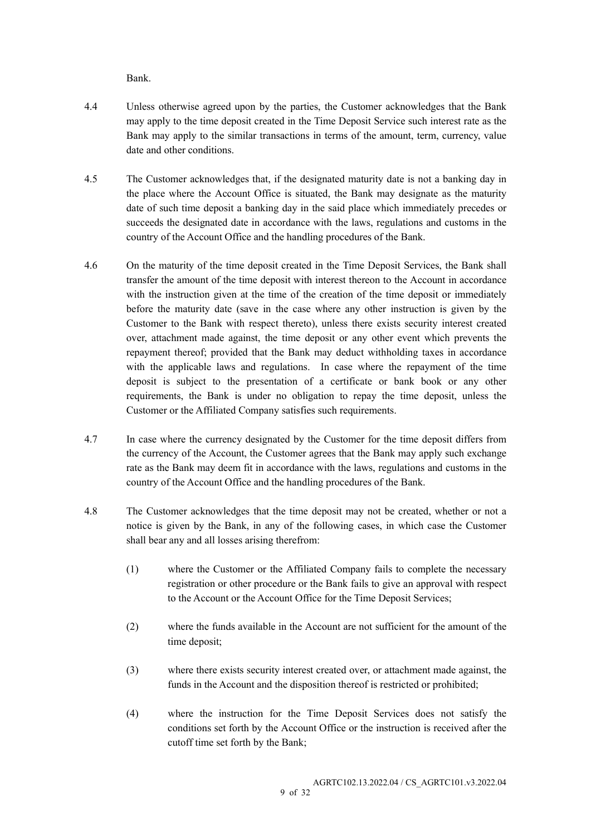Bank.

- 4.4 Unless otherwise agreed upon by the parties, the Customer acknowledges that the Bank may apply to the time deposit created in the Time Deposit Service such interest rate as the Bank may apply to the similar transactions in terms of the amount, term, currency, value date and other conditions.
- 4.5 The Customer acknowledges that, if the designated maturity date is not a banking day in the place where the Account Office is situated, the Bank may designate as the maturity date of such time deposit a banking day in the said place which immediately precedes or succeeds the designated date in accordance with the laws, regulations and customs in the country of the Account Office and the handling procedures of the Bank.
- 4.6 On the maturity of the time deposit created in the Time Deposit Services, the Bank shall transfer the amount of the time deposit with interest thereon to the Account in accordance with the instruction given at the time of the creation of the time deposit or immediately before the maturity date (save in the case where any other instruction is given by the Customer to the Bank with respect thereto), unless there exists security interest created over, attachment made against, the time deposit or any other event which prevents the repayment thereof; provided that the Bank may deduct withholding taxes in accordance with the applicable laws and regulations. In case where the repayment of the time deposit is subject to the presentation of a certificate or bank book or any other requirements, the Bank is under no obligation to repay the time deposit, unless the Customer or the Affiliated Company satisfies such requirements.
- 4.7 In case where the currency designated by the Customer for the time deposit differs from the currency of the Account, the Customer agrees that the Bank may apply such exchange rate as the Bank may deem fit in accordance with the laws, regulations and customs in the country of the Account Office and the handling procedures of the Bank.
- 4.8 The Customer acknowledges that the time deposit may not be created, whether or not a notice is given by the Bank, in any of the following cases, in which case the Customer shall bear any and all losses arising therefrom:
	- (1) where the Customer or the Affiliated Company fails to complete the necessary registration or other procedure or the Bank fails to give an approval with respect to the Account or the Account Office for the Time Deposit Services;
	- (2) where the funds available in the Account are not sufficient for the amount of the time deposit;
	- (3) where there exists security interest created over, or attachment made against, the funds in the Account and the disposition thereof is restricted or prohibited;
	- (4) where the instruction for the Time Deposit Services does not satisfy the conditions set forth by the Account Office or the instruction is received after the cutoff time set forth by the Bank;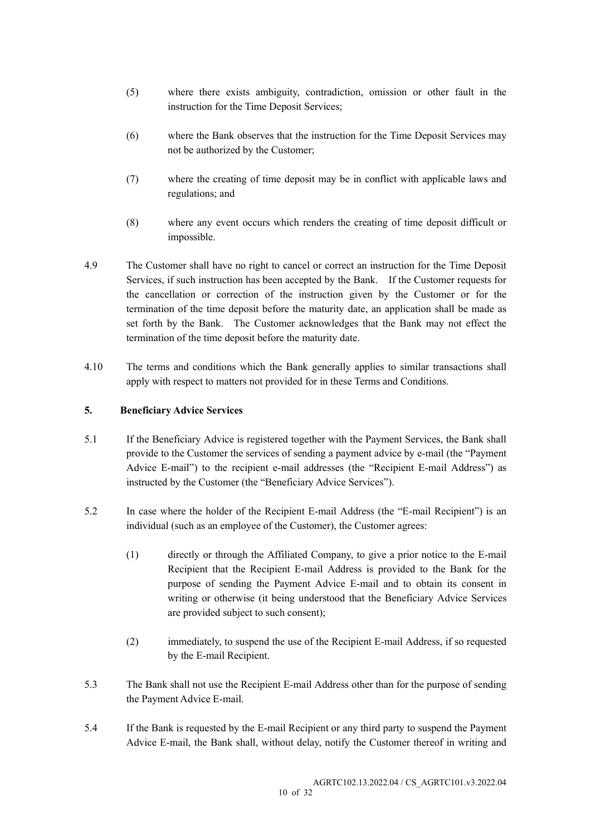- (5) where there exists ambiguity, contradiction, omission or other fault in the instruction for the Time Deposit Services;
- (6) where the Bank observes that the instruction for the Time Deposit Services may not be authorized by the Customer;
- (7) where the creating of time deposit may be in conflict with applicable laws and regulations; and
- (8) where any event occurs which renders the creating of time deposit difficult or impossible.
- 4.9 The Customer shall have no right to cancel or correct an instruction for the Time Deposit Services, if such instruction has been accepted by the Bank. If the Customer requests for the cancellation or correction of the instruction given by the Customer or for the termination of the time deposit before the maturity date, an application shall be made as set forth by the Bank. The Customer acknowledges that the Bank may not effect the termination of the time deposit before the maturity date.
- 4.10 The terms and conditions which the Bank generally applies to similar transactions shall apply with respect to matters not provided for in these Terms and Conditions.

## 5. Beneficiary Advice Services

- 5.1 If the Beneficiary Advice is registered together with the Payment Services, the Bank shall provide to the Customer the services of sending a payment advice by e-mail (the "Payment Advice E-mail") to the recipient e-mail addresses (the "Recipient E-mail Address") as instructed by the Customer (the "Beneficiary Advice Services").
- 5.2 In case where the holder of the Recipient E-mail Address (the "E-mail Recipient") is an individual (such as an employee of the Customer), the Customer agrees:
	- (1) directly or through the Affiliated Company, to give a prior notice to the E-mail Recipient that the Recipient E-mail Address is provided to the Bank for the purpose of sending the Payment Advice E-mail and to obtain its consent in writing or otherwise (it being understood that the Beneficiary Advice Services are provided subject to such consent);
	- (2) immediately, to suspend the use of the Recipient E-mail Address, if so requested by the E-mail Recipient.
- 5.3 The Bank shall not use the Recipient E-mail Address other than for the purpose of sending the Payment Advice E-mail.
- 5.4 If the Bank is requested by the E-mail Recipient or any third party to suspend the Payment Advice E-mail, the Bank shall, without delay, notify the Customer thereof in writing and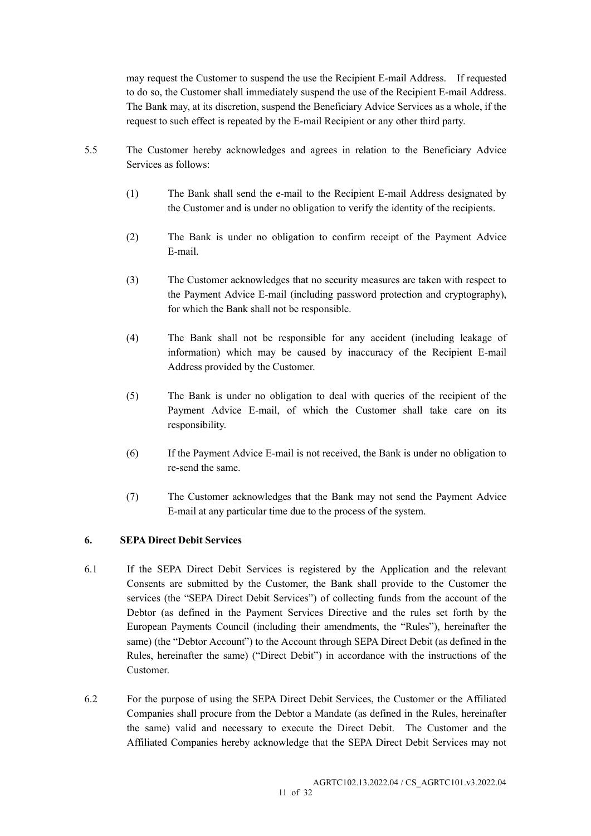may request the Customer to suspend the use the Recipient E-mail Address. If requested to do so, the Customer shall immediately suspend the use of the Recipient E-mail Address. The Bank may, at its discretion, suspend the Beneficiary Advice Services as a whole, if the request to such effect is repeated by the E-mail Recipient or any other third party.

- 5.5 The Customer hereby acknowledges and agrees in relation to the Beneficiary Advice Services as follows:
	- (1) The Bank shall send the e-mail to the Recipient E-mail Address designated by the Customer and is under no obligation to verify the identity of the recipients.
	- (2) The Bank is under no obligation to confirm receipt of the Payment Advice E-mail.
	- (3) The Customer acknowledges that no security measures are taken with respect to the Payment Advice E-mail (including password protection and cryptography), for which the Bank shall not be responsible.
	- (4) The Bank shall not be responsible for any accident (including leakage of information) which may be caused by inaccuracy of the Recipient E-mail Address provided by the Customer.
	- (5) The Bank is under no obligation to deal with queries of the recipient of the Payment Advice E-mail, of which the Customer shall take care on its responsibility.
	- (6) If the Payment Advice E-mail is not received, the Bank is under no obligation to re-send the same.
	- (7) The Customer acknowledges that the Bank may not send the Payment Advice E-mail at any particular time due to the process of the system.

## 6. SEPA Direct Debit Services

- 6.1 If the SEPA Direct Debit Services is registered by the Application and the relevant Consents are submitted by the Customer, the Bank shall provide to the Customer the services (the "SEPA Direct Debit Services") of collecting funds from the account of the Debtor (as defined in the Payment Services Directive and the rules set forth by the European Payments Council (including their amendments, the "Rules"), hereinafter the same) (the "Debtor Account") to the Account through SEPA Direct Debit (as defined in the Rules, hereinafter the same) ("Direct Debit") in accordance with the instructions of the Customer.
- 6.2 For the purpose of using the SEPA Direct Debit Services, the Customer or the Affiliated Companies shall procure from the Debtor a Mandate (as defined in the Rules, hereinafter the same) valid and necessary to execute the Direct Debit. The Customer and the Affiliated Companies hereby acknowledge that the SEPA Direct Debit Services may not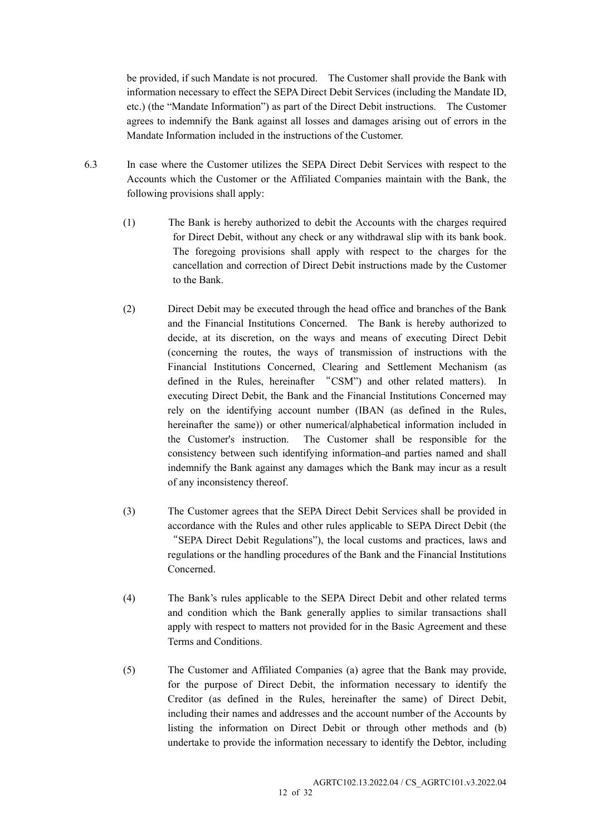be provided, if such Mandate is not procured. The Customer shall provide the Bank with information necessary to effect the SEPA Direct Debit Services (including the Mandate ID, etc.) (the "Mandate Information") as part of the Direct Debit instructions. The Customer agrees to indemnify the Bank against all losses and damages arising out of errors in the Mandate Information included in the instructions of the Customer.

- 6.3 In case where the Customer utilizes the SEPA Direct Debit Services with respect to the Accounts which the Customer or the Affiliated Companies maintain with the Bank, the following provisions shall apply:
	- (1) The Bank is hereby authorized to debit the Accounts with the charges required for Direct Debit, without any check or any withdrawal slip with its bank book. The foregoing provisions shall apply with respect to the charges for the cancellation and correction of Direct Debit instructions made by the Customer to the Bank.
	- (2) Direct Debit may be executed through the head office and branches of the Bank and the Financial Institutions Concerned. The Bank is hereby authorized to decide, at its discretion, on the ways and means of executing Direct Debit (concerning the routes, the ways of transmission of instructions with the Financial Institutions Concerned, Clearing and Settlement Mechanism (as defined in the Rules, hereinafter "CSM") and other related matters). In executing Direct Debit, the Bank and the Financial Institutions Concerned may rely on the identifying account number (IBAN (as defined in the Rules, hereinafter the same)) or other numerical/alphabetical information included in the Customer's instruction. The Customer shall be responsible for the consistency between such identifying information and parties named and shall indemnify the Bank against any damages which the Bank may incur as a result of any inconsistency thereof.
	- (3) The Customer agrees that the SEPA Direct Debit Services shall be provided in accordance with the Rules and other rules applicable to SEPA Direct Debit (the "SEPA Direct Debit Regulations"), the local customs and practices, laws and regulations or the handling procedures of the Bank and the Financial Institutions Concerned.
	- (4) The Bank's rules applicable to the SEPA Direct Debit and other related terms and condition which the Bank generally applies to similar transactions shall apply with respect to matters not provided for in the Basic Agreement and these Terms and Conditions.
	- (5) The Customer and Affiliated Companies (a) agree that the Bank may provide, for the purpose of Direct Debit, the information necessary to identify the Creditor (as defined in the Rules, hereinafter the same) of Direct Debit, including their names and addresses and the account number of the Accounts by listing the information on Direct Debit or through other methods and (b) undertake to provide the information necessary to identify the Debtor, including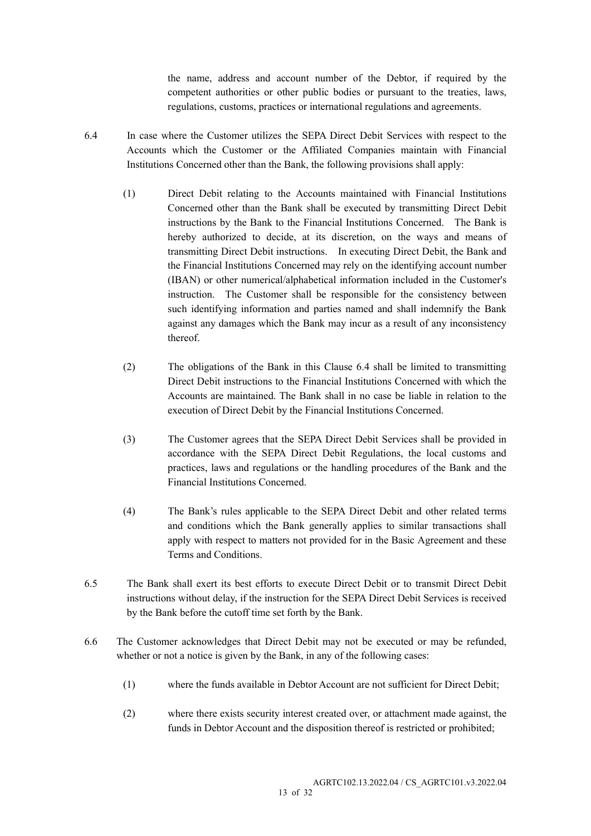the name, address and account number of the Debtor, if required by the competent authorities or other public bodies or pursuant to the treaties, laws, regulations, customs, practices or international regulations and agreements.

- 6.4 In case where the Customer utilizes the SEPA Direct Debit Services with respect to the Accounts which the Customer or the Affiliated Companies maintain with Financial Institutions Concerned other than the Bank, the following provisions shall apply:
	- (1) Direct Debit relating to the Accounts maintained with Financial Institutions Concerned other than the Bank shall be executed by transmitting Direct Debit instructions by the Bank to the Financial Institutions Concerned. The Bank is hereby authorized to decide, at its discretion, on the ways and means of transmitting Direct Debit instructions. In executing Direct Debit, the Bank and the Financial Institutions Concerned may rely on the identifying account number (IBAN) or other numerical/alphabetical information included in the Customer's instruction. The Customer shall be responsible for the consistency between such identifying information and parties named and shall indemnify the Bank against any damages which the Bank may incur as a result of any inconsistency thereof.
	- (2) The obligations of the Bank in this Clause 6.4 shall be limited to transmitting Direct Debit instructions to the Financial Institutions Concerned with which the Accounts are maintained. The Bank shall in no case be liable in relation to the execution of Direct Debit by the Financial Institutions Concerned.
	- (3) The Customer agrees that the SEPA Direct Debit Services shall be provided in accordance with the SEPA Direct Debit Regulations, the local customs and practices, laws and regulations or the handling procedures of the Bank and the Financial Institutions Concerned.
	- (4) The Bank's rules applicable to the SEPA Direct Debit and other related terms and conditions which the Bank generally applies to similar transactions shall apply with respect to matters not provided for in the Basic Agreement and these Terms and Conditions.
- 6.5 The Bank shall exert its best efforts to execute Direct Debit or to transmit Direct Debit instructions without delay, if the instruction for the SEPA Direct Debit Services is received by the Bank before the cutoff time set forth by the Bank.
- 6.6 The Customer acknowledges that Direct Debit may not be executed or may be refunded, whether or not a notice is given by the Bank, in any of the following cases:
	- (1) where the funds available in Debtor Account are not sufficient for Direct Debit;
	- (2) where there exists security interest created over, or attachment made against, the funds in Debtor Account and the disposition thereof is restricted or prohibited;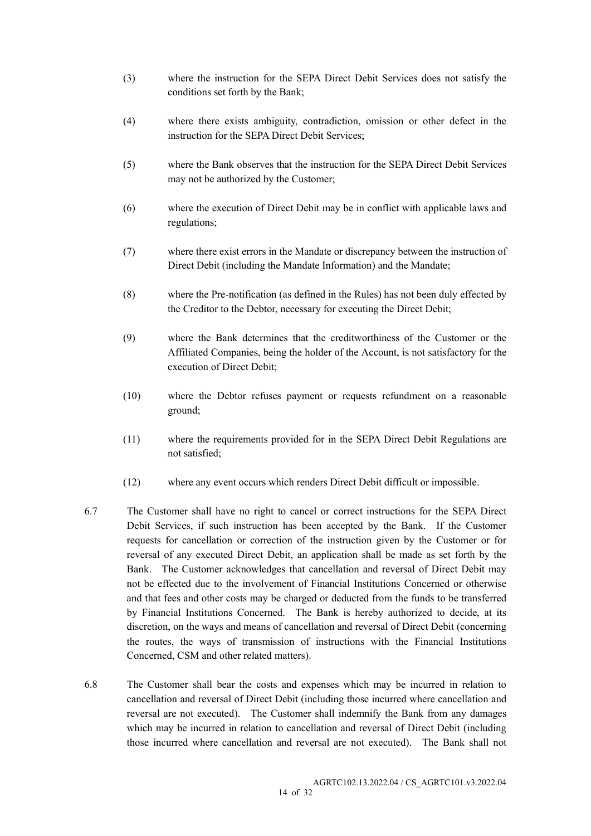- (3) where the instruction for the SEPA Direct Debit Services does not satisfy the conditions set forth by the Bank;
- (4) where there exists ambiguity, contradiction, omission or other defect in the instruction for the SEPA Direct Debit Services;
- (5) where the Bank observes that the instruction for the SEPA Direct Debit Services may not be authorized by the Customer;
- (6) where the execution of Direct Debit may be in conflict with applicable laws and regulations;
- (7) where there exist errors in the Mandate or discrepancy between the instruction of Direct Debit (including the Mandate Information) and the Mandate;
- (8) where the Pre-notification (as defined in the Rules) has not been duly effected by the Creditor to the Debtor, necessary for executing the Direct Debit;
- (9) where the Bank determines that the creditworthiness of the Customer or the Affiliated Companies, being the holder of the Account, is not satisfactory for the execution of Direct Debit;
- (10) where the Debtor refuses payment or requests refundment on a reasonable ground;
- (11) where the requirements provided for in the SEPA Direct Debit Regulations are not satisfied;
- (12) where any event occurs which renders Direct Debit difficult or impossible.
- 6.7 The Customer shall have no right to cancel or correct instructions for the SEPA Direct Debit Services, if such instruction has been accepted by the Bank. If the Customer requests for cancellation or correction of the instruction given by the Customer or for reversal of any executed Direct Debit, an application shall be made as set forth by the Bank. The Customer acknowledges that cancellation and reversal of Direct Debit may not be effected due to the involvement of Financial Institutions Concerned or otherwise and that fees and other costs may be charged or deducted from the funds to be transferred by Financial Institutions Concerned. The Bank is hereby authorized to decide, at its discretion, on the ways and means of cancellation and reversal of Direct Debit (concerning the routes, the ways of transmission of instructions with the Financial Institutions Concerned, CSM and other related matters).
- 6.8 The Customer shall bear the costs and expenses which may be incurred in relation to cancellation and reversal of Direct Debit (including those incurred where cancellation and reversal are not executed). The Customer shall indemnify the Bank from any damages which may be incurred in relation to cancellation and reversal of Direct Debit (including those incurred where cancellation and reversal are not executed). The Bank shall not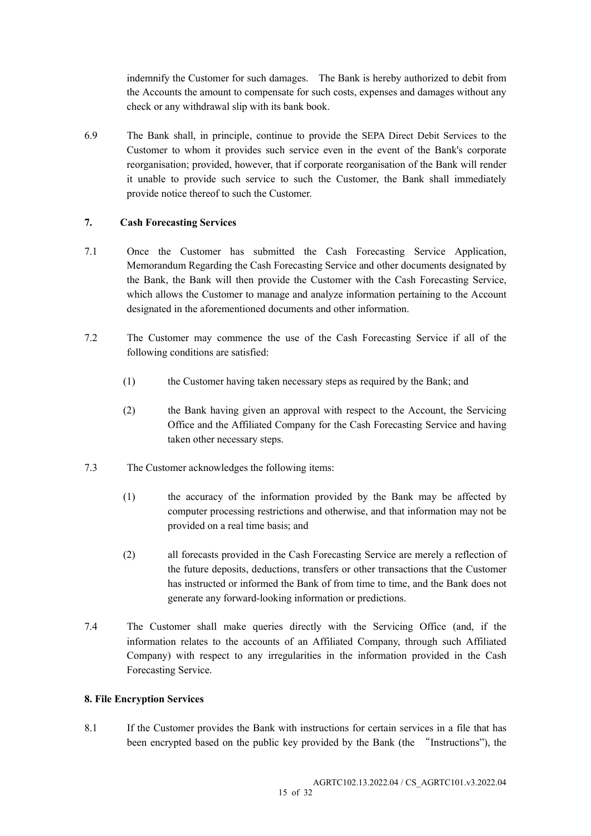indemnify the Customer for such damages. The Bank is hereby authorized to debit from the Accounts the amount to compensate for such costs, expenses and damages without any check or any withdrawal slip with its bank book.

6.9 The Bank shall, in principle, continue to provide the SEPA Direct Debit Services to the Customer to whom it provides such service even in the event of the Bank's corporate reorganisation; provided, however, that if corporate reorganisation of the Bank will render it unable to provide such service to such the Customer, the Bank shall immediately provide notice thereof to such the Customer.

## 7. Cash Forecasting Services

- 7.1 Once the Customer has submitted the Cash Forecasting Service Application, Memorandum Regarding the Cash Forecasting Service and other documents designated by the Bank, the Bank will then provide the Customer with the Cash Forecasting Service, which allows the Customer to manage and analyze information pertaining to the Account designated in the aforementioned documents and other information.
- 7.2 The Customer may commence the use of the Cash Forecasting Service if all of the following conditions are satisfied:
	- (1) the Customer having taken necessary steps as required by the Bank; and
	- (2) the Bank having given an approval with respect to the Account, the Servicing Office and the Affiliated Company for the Cash Forecasting Service and having taken other necessary steps.
- 7.3 The Customer acknowledges the following items:
	- (1) the accuracy of the information provided by the Bank may be affected by computer processing restrictions and otherwise, and that information may not be provided on a real time basis; and
	- (2) all forecasts provided in the Cash Forecasting Service are merely a reflection of the future deposits, deductions, transfers or other transactions that the Customer has instructed or informed the Bank of from time to time, and the Bank does not generate any forward-looking information or predictions.
- 7.4 The Customer shall make queries directly with the Servicing Office (and, if the information relates to the accounts of an Affiliated Company, through such Affiliated Company) with respect to any irregularities in the information provided in the Cash Forecasting Service.

## 8. File Encryption Services

8.1 If the Customer provides the Bank with instructions for certain services in a file that has been encrypted based on the public key provided by the Bank (the "Instructions"), the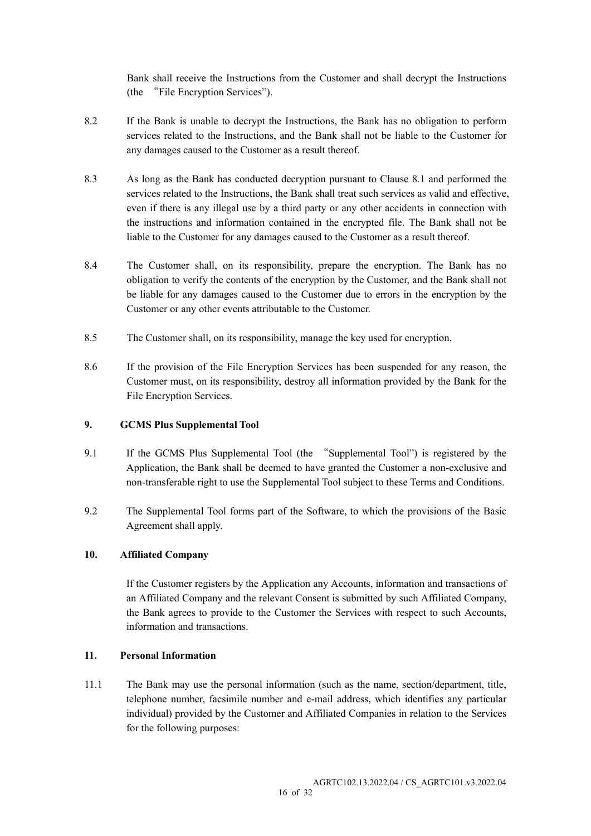Bank shall receive the Instructions from the Customer and shall decrypt the Instructions (the "File Encryption Services").

- 8.2 If the Bank is unable to decrypt the Instructions, the Bank has no obligation to perform services related to the Instructions, and the Bank shall not be liable to the Customer for any damages caused to the Customer as a result thereof.
- 8.3 As long as the Bank has conducted decryption pursuant to Clause 8.1 and performed the services related to the Instructions, the Bank shall treat such services as valid and effective, even if there is any illegal use by a third party or any other accidents in connection with the instructions and information contained in the encrypted file. The Bank shall not be liable to the Customer for any damages caused to the Customer as a result thereof.
- 8.4 The Customer shall, on its responsibility, prepare the encryption. The Bank has no obligation to verify the contents of the encryption by the Customer, and the Bank shall not be liable for any damages caused to the Customer due to errors in the encryption by the Customer or any other events attributable to the Customer.
- 8.5 The Customer shall, on its responsibility, manage the key used for encryption.
- 8.6 If the provision of the File Encryption Services has been suspended for any reason, the Customer must, on its responsibility, destroy all information provided by the Bank for the File Encryption Services.

## 9. GCMS Plus Supplemental Tool

- 9.1 If the GCMS Plus Supplemental Tool (the "Supplemental Tool") is registered by the Application, the Bank shall be deemed to have granted the Customer a non-exclusive and non-transferable right to use the Supplemental Tool subject to these Terms and Conditions.
- 9.2 The Supplemental Tool forms part of the Software, to which the provisions of the Basic Agreement shall apply.

## 10. Affiliated Company

 If the Customer registers by the Application any Accounts, information and transactions of an Affiliated Company and the relevant Consent is submitted by such Affiliated Company, the Bank agrees to provide to the Customer the Services with respect to such Accounts, information and transactions.

## 11. Personal Information

11.1 The Bank may use the personal information (such as the name, section/department, title, telephone number, facsimile number and e-mail address, which identifies any particular individual) provided by the Customer and Affiliated Companies in relation to the Services for the following purposes: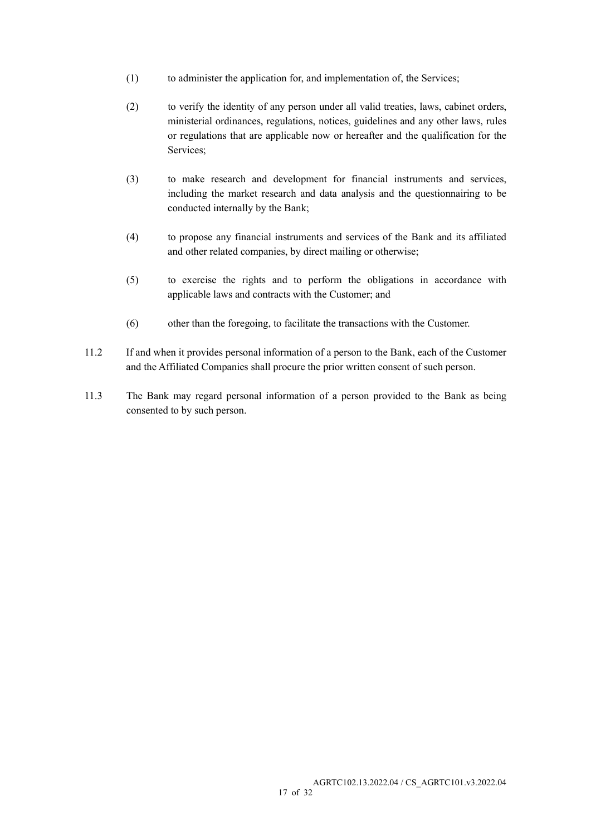- (1) to administer the application for, and implementation of, the Services;
- (2) to verify the identity of any person under all valid treaties, laws, cabinet orders, ministerial ordinances, regulations, notices, guidelines and any other laws, rules or regulations that are applicable now or hereafter and the qualification for the Services;
- (3) to make research and development for financial instruments and services, including the market research and data analysis and the questionnairing to be conducted internally by the Bank;
- (4) to propose any financial instruments and services of the Bank and its affiliated and other related companies, by direct mailing or otherwise;
- (5) to exercise the rights and to perform the obligations in accordance with applicable laws and contracts with the Customer; and
- (6) other than the foregoing, to facilitate the transactions with the Customer.
- 11.2 If and when it provides personal information of a person to the Bank, each of the Customer and the Affiliated Companies shall procure the prior written consent of such person.
- 11.3 The Bank may regard personal information of a person provided to the Bank as being consented to by such person.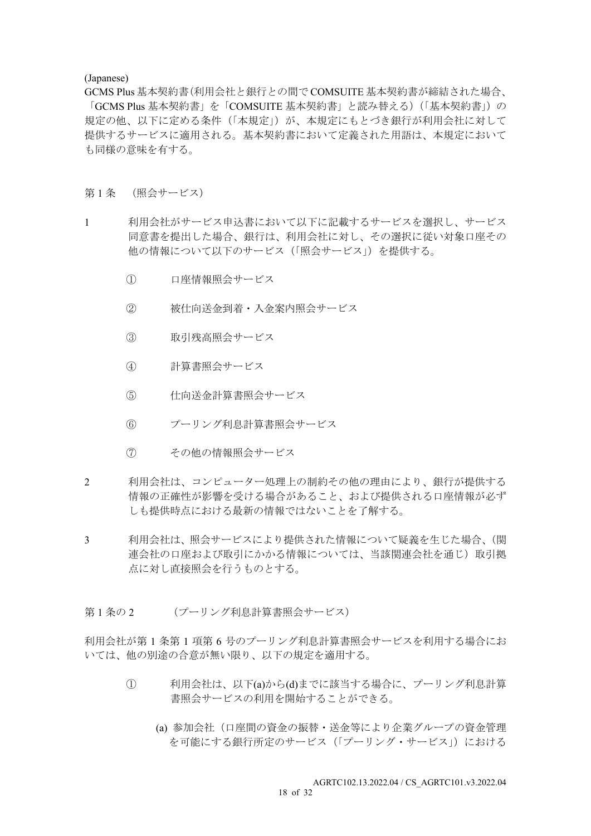#### (Japanese)

GCMS Plus 基本契約書(利用会社と銀行との間で COMSUITE 基本契約書が締結された場合、 「GCMS Plus 基本契約書」を「COMSUITE 基本契約書」と読み替える)(「基本契約書」)の 規定の他、以下に定める条件(「本規定」)が、本規定にもとづき銀行が利用会社に対して 提供するサービスに適用される。基本契約書において定義された用語は、本規定において も同様の意味を有する。

#### 第1条 (照会サービス)

- 1 利用会社がサービス申込書において以下に記載するサービスを選択し、サービス 同意書を提出した場合、銀行は、利用会社に対し、その選択に従い対象口座その 他の情報について以下のサービス(「照会サービス」)を提供する。
	- ① 口座情報照会サービス
	- ② 被仕向送金到着・入金案内照会サービス
	- ③ 取引残高照会サービス
	- ④ 計算書照会サービス
	- ⑤ 仕向送金計算書照会サービス
	- ⑥ プーリング利息計算書照会サービス
	- ⑦ その他の情報照会サービス
- 2 利用会社は、コンピューター処理上の制約その他の理由により、銀行が提供する 情報の正確性が影響を受ける場合があること、および提供される口座情報が必ず しも提供時点における最新の情報ではないことを了解する。
- 3 利用会社は、照会サービスにより提供された情報について疑義を生じた場合、(関 連会社の口座および取引にかかる情報については、当該関連会社を通じ)取引拠 点に対し直接照会を行うものとする。
- 第1条の2 (プーリング利息計算書照会サービス)

利用会社が第 1 条第 1 項第 6 号のプーリング利息計算書照会サービスを利用する場合にお いては、他の別途の合意が無い限り、以下の規定を適用する。

- ① 利用会社は、以下(a)から(d)までに該当する場合に、プーリング利息計算 書照会サービスの利用を開始することができる。
	- (a) 参加会社(口座間の資金の振替・送金等により企業グループの資金管理 を可能にする銀行所定のサービス(「プーリング・サービス」)における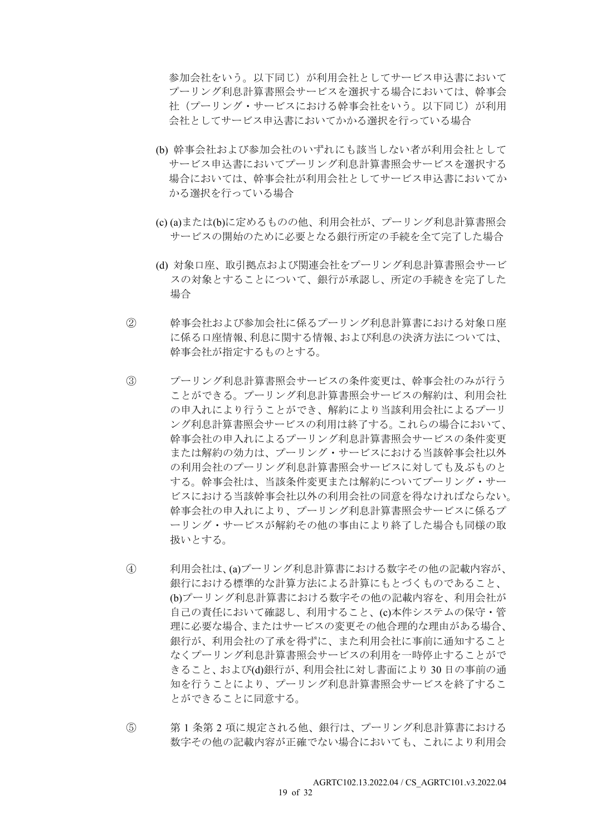参加会社をいう。以下同じ)が利用会社としてサービス申込書において プーリング利息計算書照会サービスを選択する場合においては、幹事会 社(プーリング・サービスにおける幹事会社をいう。以下同じ)が利用 会社としてサービス申込書においてかかる選択を行っている場合

- (b) 幹事会社および参加会社のいずれにも該当しない者が利用会社として サービス申込書においてプーリング利息計算書照会サービスを選択する 場合においては、幹事会社が利用会社としてサービス申込書においてか かる選択を行っている場合
- (c) (a)または(b)に定めるものの他、利用会社が、プーリング利息計算書照会 サービスの開始のために必要となる銀行所定の手続を全て完了した場合
- (d) 対象口座、取引拠点および関連会社をプーリング利息計算書照会サービ スの対象とすることについて、銀行が承認し、所定の手続きを完了した 場合
- ② 幹事会社および参加会社に係るプーリング利息計算書における対象口座 に係る口座情報、利息に関する情報、および利息の決済方法については、 幹事会社が指定するものとする。
- ③ プーリング利息計算書照会サービスの条件変更は、幹事会社のみが行う ことができる。プーリング利息計算書照会サービスの解約は、利用会社 の申入れにより行うことができ、解約により当該利用会社によるプーリ ング利息計算書照会サービスの利用は終了する。これらの場合において、 幹事会社の申入れによるプーリング利息計算書照会サービスの条件変更 または解約の効力は、プーリング・サービスにおける当該幹事会社以外 の利用会社のプーリング利息計算書照会サービスに対しても及ぶものと する。幹事会社は、当該条件変更または解約についてプーリング・サー ビスにおける当該幹事会社以外の利用会社の同意を得なければならない。 幹事会社の申入れにより、プーリング利息計算書照会サービスに係るプ ーリング・サービスが解約その他の事由により終了した場合も同様の取 扱いとする。
- ④ 利用会社は、(a)プーリング利息計算書における数字その他の記載内容が、 銀行における標準的な計算方法による計算にもとづくものであること、 (b)プーリング利息計算書における数字その他の記載内容を、利用会社が 自己の責任において確認し、利用すること、(c)本件システムの保守・管 理に必要な場合、またはサービスの変更その他合理的な理由がある場合、 銀行が、利用会社の了承を得ずに、また利用会社に事前に通知すること なくプーリング利息計算書照会サービスの利用を一時停止することがで きること、および(d)銀行が、利用会社に対し書面により 30 日の事前の通 知を行うことにより、プーリング利息計算書照会サービスを終了するこ とができることに同意する。
- ⑤ 第 1 条第 2 項に規定される他、銀行は、プーリング利息計算書における 数字その他の記載内容が正確でない場合においても、これにより利用会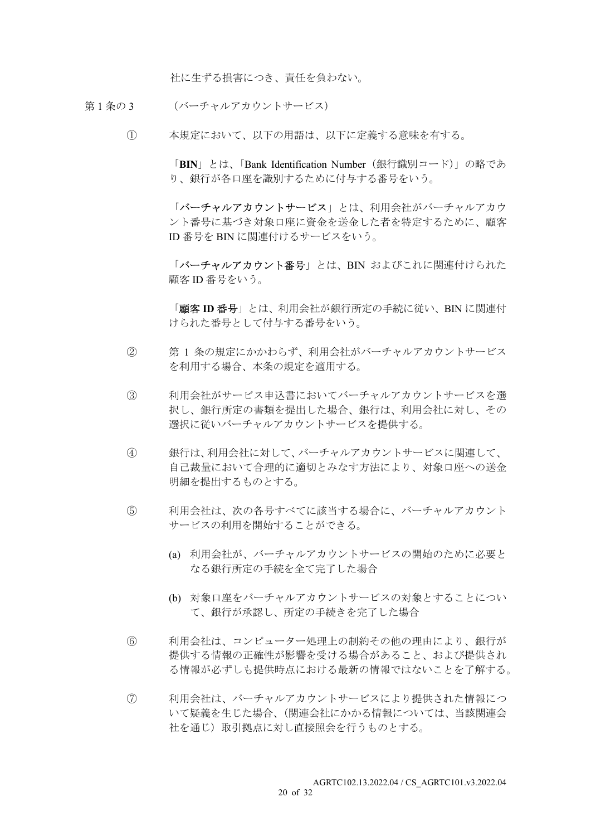社に生ずる損害につき、責任を負わない。

- 第1条の3 (バーチャルアカウントサービス)
	- ① 本規定において、以下の用語は、以下に定義する意味を有する。

「BIN」とは、「Bank Identification Number(銀行識別コード)」の略であ り、銀行が各口座を識別するために付与する番号をいう。

「バーチャルアカウントサービス」とは、利用会社がバーチャルアカウ ント番号に基づき対象口座に資金を送金した者を特定するために、顧客 ID 番号を BIN に関連付けるサービスをいう。

「バーチャルアカウント番号」とは、BIN およびこれに関連付けられた 顧客 ID 番号をいう。

「顧客ID番号」とは、利用会社が銀行所定の手続に従い、BIN に関連付 けられた番号として付与する番号をいう。

- ② 第 1 条の規定にかかわらず、利用会社がバーチャルアカウントサービス を利用する場合、本条の規定を適用する。
- ③ 利用会社がサービス申込書においてバーチャルアカウントサービスを選 択し、銀行所定の書類を提出した場合、銀行は、利用会社に対し、その 選択に従いバーチャルアカウントサービスを提供する。
- ④ 銀行は、利用会社に対して、バーチャルアカウントサービスに関連して、 自己裁量において合理的に適切とみなす方法により、対象口座への送金 明細を提出するものとする。
- ⑤ 利用会社は、次の各号すべてに該当する場合に、バーチャルアカウント サービスの利用を開始することができる。
	- (a) 利用会社が、バーチャルアカウントサービスの開始のために必要と なる銀行所定の手続を全て完了した場合
	- (b) 対象口座をバーチャルアカウントサービスの対象とすることについ て、銀行が承認し、所定の手続きを完了した場合
- ⑥ 利用会社は、コンピューター処理上の制約その他の理由により、銀行が 提供する情報の正確性が影響を受ける場合があること、および提供され る情報が必ずしも提供時点における最新の情報ではないことを了解する。
- ⑦ 利用会社は、バーチャルアカウントサービスにより提供された情報につ いて疑義を生じた場合、(関連会社にかかる情報については、当該関連会 社を通じ)取引拠点に対し直接照会を行うものとする。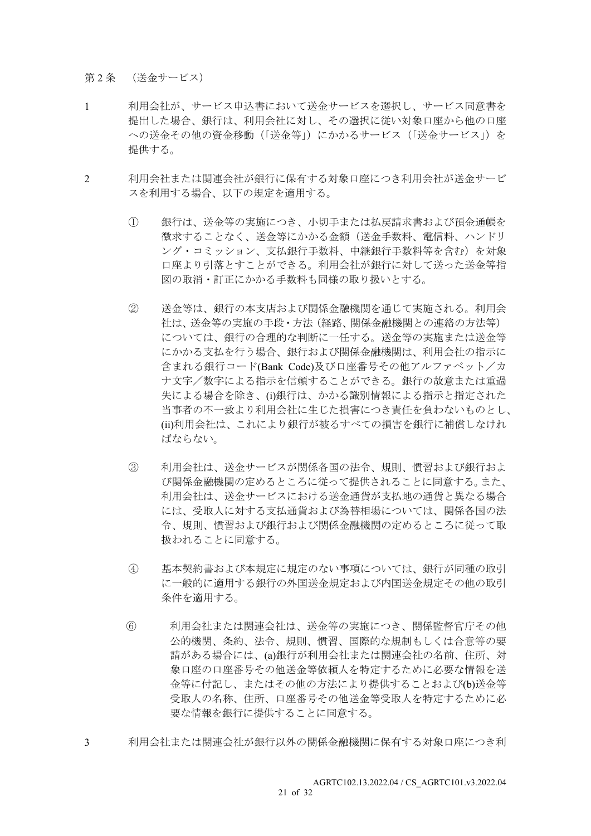第2条 (送金サービス)

- 1 利用会社が、サービス申込書において送金サービスを選択し、サービス同意書を 提出した場合、銀行は、利用会社に対し、その選択に従い対象口座から他の口座 への送金その他の資金移動(「送金等」)にかかるサービス(「送金サービス」)を 提供する。
- 2 利用会社または関連会社が銀行に保有する対象口座につき利用会社が送金サービ スを利用する場合、以下の規定を適用する。
	- ① 銀行は、送金等の実施につき、小切手または払戻請求書および預金通帳を 徴求することなく、送金等にかかる金額(送金手数料、電信料、ハンドリ ング・コミッション、支払銀行手数料、中継銀行手数料等を含む)を対象 口座より引落とすことができる。利用会社が銀行に対して送った送金等指 図の取消・訂正にかかる手数料も同様の取り扱いとする。
	- ② 送金等は、銀行の本支店および関係金融機関を通じて実施される。利用会 社は、送金等の実施の手段・方法(経路、関係金融機関との連絡の方法等) については、銀行の合理的な判断に一任する。送金等の実施または送金等 にかかる支払を行う場合、銀行および関係金融機関は、利用会社の指示に 含まれる銀行コード(Bank Code)及び口座番号その他アルファベット/カ ナ文字/数字による指示を信頼することができる。銀行の故意または重過 失による場合を除き、(i)銀行は、かかる識別情報による指示と指定された 当事者の不一致より利用会社に生じた損害につき責任を負わないものとし、 (ii)利用会社は、これにより銀行が被るすべての損害を銀行に補償しなけれ ばならない。
	- ③ 利用会社は、送金サービスが関係各国の法令、規則、慣習および銀行およ び関係金融機関の定めるところに従って提供されることに同意する。また、 利用会社は、送金サービスにおける送金通貨が支払地の通貨と異なる場合 には、受取人に対する支払通貨および為替相場については、関係各国の法 令、規則、慣習および銀行および関係金融機関の定めるところに従って取 扱われることに同意する。
	- ④ 基本契約書および本規定に規定のない事項については、銀行が同種の取引 に一般的に適用する銀行の外国送金規定および内国送金規定その他の取引 条件を適用する。
	- ⑥ 利用会社または関連会社は、送金等の実施につき、関係監督官庁その他 公的機関、条約、法令、規則、慣習、国際的な規制もしくは合意等の要 請がある場合には、(a)銀行が利用会社または関連会社の名前、住所、対 象口座の口座番号その他送金等依頼人を特定するために必要な情報を送 金等に付記し、またはその他の方法により提供することおよび(b)送金等 受取人の名称、住所、口座番号その他送金等受取人を特定するために必 要な情報を銀行に提供することに同意する。
- 3 利用会社または関連会社が銀行以外の関係金融機関に保有する対象口座につき利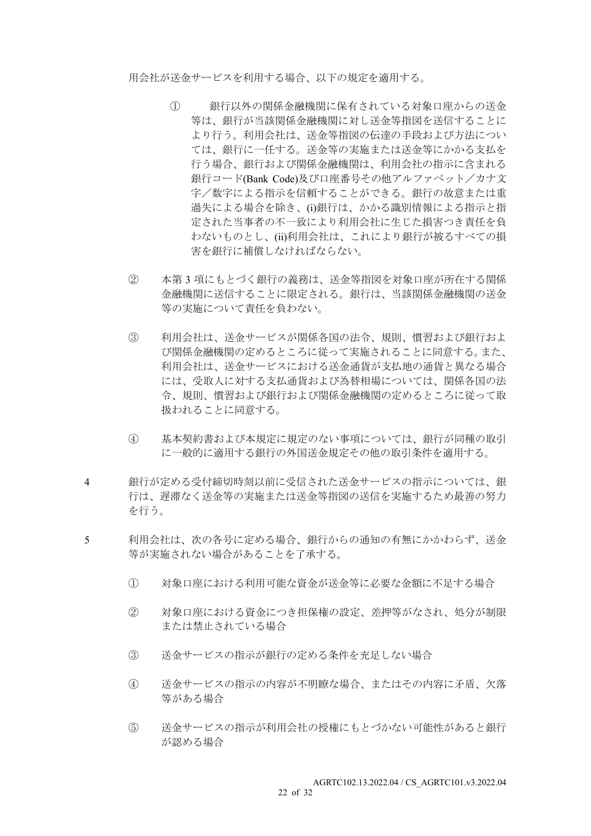用会社が送金サービスを利用する場合、以下の規定を適用する。

- ① 銀行以外の関係金融機関に保有されている対象口座からの送金 等は、銀行が当該関係金融機関に対し送金等指図を送信することに より行う。利用会社は、送金等指図の伝達の手段および方法につい ては、銀行に一任する。送金等の実施または送金等にかかる支払を 行う場合、銀行および関係金融機関は、利用会社の指示に含まれる 銀行コード(Bank Code)及び口座番号その他アルファベット/カナ文 字/数字による指示を信頼することができる。銀行の故意または重 過失による場合を除き、(i)銀行は、かかる識別情報による指示と指 定された当事者の不一致により利用会社に生じた損害つき責任を負 わないものとし、(ii)利用会社は、これにより銀行が被るすべての損 害を銀行に補償しなければならない。
- ② 本第 3 項にもとづく銀行の義務は、送金等指図を対象口座が所在する関係 金融機関に送信することに限定される。銀行は、当該関係金融機関の送金 等の実施について責任を負わない。
- ③ 利用会社は、送金サービスが関係各国の法令、規則、慣習および銀行およ び関係金融機関の定めるところに従って実施されることに同意する。また、 利用会社は、送金サービスにおける送金通貨が支払地の通貨と異なる場合 には、受取人に対する支払通貨および為替相場については、関係各国の法 令、規則、慣習および銀行および関係金融機関の定めるところに従って取 扱われることに同意する。
- ④ 基本契約書および本規定に規定のない事項については、銀行が同種の取引 に一般的に適用する銀行の外国送金規定その他の取引条件を適用する。
- 4 銀行が定める受付締切時刻以前に受信された送金サービスの指示については、銀 行は、遅滞なく送金等の実施または送金等指図の送信を実施するため最善の努力 を行う。
- 5 利用会社は、次の各号に定める場合、銀行からの通知の有無にかかわらず、送金 等が実施されない場合があることを了承する。
	- ① 対象口座における利用可能な資金が送金等に必要な金額に不足する場合
	- ② 対象口座における資金につき担保権の設定、差押等がなされ、処分が制限 または禁止されている場合
	- ③ 送金サービスの指示が銀行の定める条件を充足しない場合
	- ④ 送金サービスの指示の内容が不明瞭な場合、またはその内容に矛盾、欠落 等がある場合
	- ⑤ 送金サービスの指示が利用会社の授権にもとづかない可能性があると銀行 が認める場合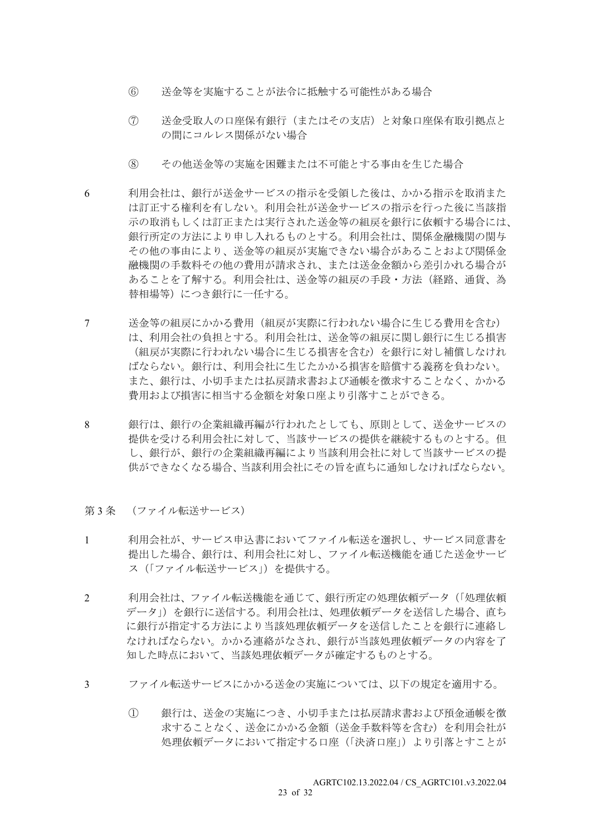- ⑥ 送金等を実施することが法令に抵触する可能性がある場合
- ⑦ 送金受取人の口座保有銀行(またはその支店)と対象口座保有取引拠点と の間にコルレス関係がない場合
- ⑧ その他送金等の実施を困難または不可能とする事由を生じた場合
- 6 利用会社は、銀行が送金サービスの指示を受領した後は、かかる指示を取消また は訂正する権利を有しない。利用会社が送金サービスの指示を行った後に当該指 示の取消もしくは訂正または実行された送金等の組戻を銀行に依頼する場合には、 銀行所定の方法により申し入れるものとする。利用会社は、関係金融機関の関与 その他の事由により、送金等の組戻が実施できない場合があることおよび関係金 融機関の手数料その他の費用が請求され、または送金金額から差引かれる場合が あることを了解する。利用会社は、送金等の組戻の手段・方法(経路、通貨、為 替相場等)につき銀行に一任する。
- 7 送金等の組戻にかかる費用(組戻が実際に行われない場合に生じる費用を含む) は、利用会社の負担とする。利用会社は、送金等の組戻に関し銀行に生じる損害 (組戻が実際に行われない場合に生じる損害を含む)を銀行に対し補償しなけれ ばならない。銀行は、利用会社に生じたかかる損害を賠償する義務を負わない。 また、銀行は、小切手または払戻請求書および通帳を徴求することなく、かかる 費用および損害に相当する金額を対象口座より引落すことができる。
- 8 銀行は、銀行の企業組織再編が行われたとしても、原則として、送金サービスの 提供を受ける利用会社に対して、当該サービスの提供を継続するものとする。但 し、銀行が、銀行の企業組織再編により当該利用会社に対して当該サービスの提 供ができなくなる場合、当該利用会社にその旨を直ちに通知しなければならない。
- 第3条 (ファイル転送サービス)
- 1 利用会社が、サービス申込書においてファイル転送を選択し、サービス同意書を 提出した場合、銀行は、利用会社に対し、ファイル転送機能を通じた送金サービ ス(「ファイル転送サービス」)を提供する。
- 2 利用会社は、ファイル転送機能を通じて、銀行所定の処理依頼データ(「処理依頼 データ」)を銀行に送信する。利用会社は、処理依頼データを送信した場合、直ち に銀行が指定する方法により当該処理依頼データを送信したことを銀行に連絡し なければならない。かかる連絡がなされ、銀行が当該処理依頼データの内容を了 知した時点において、当該処理依頼データが確定するものとする。
- 3 ファイル転送サービスにかかる送金の実施については、以下の規定を適用する。
	- ① 銀行は、送金の実施につき、小切手または払戻請求書および預金通帳を徴 求することなく、送金にかかる金額(送金手数料等を含む)を利用会社が 処理依頼データにおいて指定する口座(「決済口座」)より引落とすことが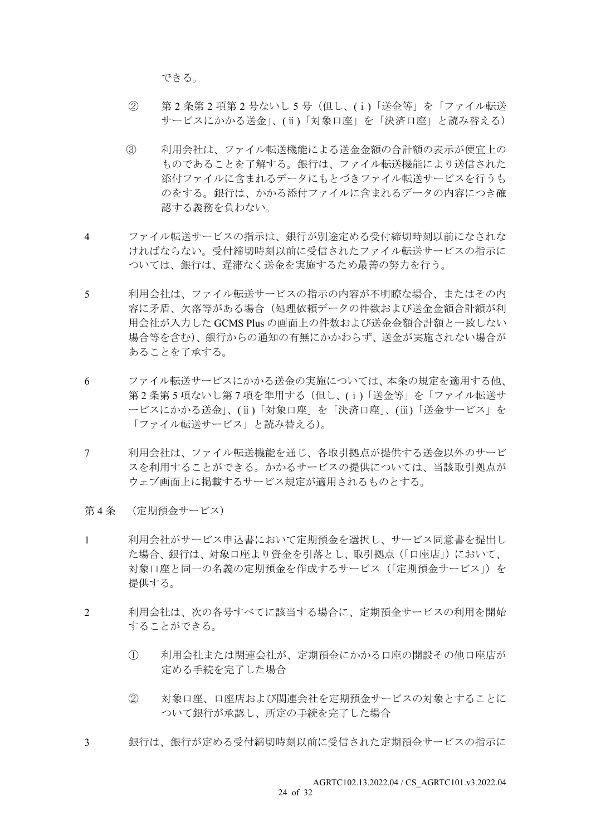できる。

- ② 第 2 条第 2 項第 2 号ないし 5 号(但し、(ⅰ)「送金等」を「ファイル転送 サービスにかかる送金」、(ⅱ)「対象口座」を「決済口座」と読み替える)
- ③ 利用会社は、ファイル転送機能による送金金額の合計額の表示が便宜上の ものであることを了解する。銀行は、ファイル転送機能により送信された 添付ファイルに含まれるデータにもとづきファイル転送サービスを行うも のをする。銀行は、かかる添付ファイルに含まれるデータの内容につき確 認する義務を負わない。
- 4 ファイル転送サービスの指示は、銀行が別途定める受付締切時刻以前になされな ければならない。受付締切時刻以前に受信されたファイル転送サービスの指示に ついては、銀行は、遅滞なく送金を実施するため最善の努力を行う。
- 5 利用会社は、ファイル転送サービスの指示の内容が不明瞭な場合、またはその内 容に矛盾、欠落等がある場合(処理依頼データの件数および送金金額合計額が利 用会社が入力した GCMS Plus の画面上の件数および送金金額合計額と一致しない 場合等を含む)、銀行からの通知の有無にかかわらず、送金が実施されない場合が あることを了承する。
- 6 ファイル転送サービスにかかる送金の実施については、本条の規定を適用する他、 第2条第5 項ないし第7 項を準用する(但し、(i)「送金等」を「ファイル転送サ ービスにかかる送金」、(ⅱ)「対象口座」を「決済口座」、(ⅲ)「送金サービス」を 「ファイル転送サービス」と読み替える)。
- 7 利用会社は、ファイル転送機能を通じ、各取引拠点が提供する送金以外のサービ スを利用することができる。かかるサービスの提供については、当該取引拠点が ウェブ画面上に掲載するサービス規定が適用されるものとする。
- 第 4 条 (定期預金サービス)
- 1 利用会社がサービス申込書において定期預金を選択し、サービス同意書を提出し た場合、銀行は、対象口座より資金を引落とし、取引拠点(「口座店」)において、 対象口座と同一の名義の定期預金を作成するサービス(「定期預金サービス」)を 提供する。
- 2 利用会社は、次の各号すべてに該当する場合に、定期預金サービスの利用を開始 することができる。
	- ① 利用会社または関連会社が、定期預金にかかる口座の開設その他口座店が 定める手続を完了した場合
	- ② 対象口座、口座店および関連会社を定期預金サービスの対象とすることに ついて銀行が承認し、所定の手続を完了した場合
- 3 銀行は、銀行が定める受付締切時刻以前に受信された定期預金サービスの指示に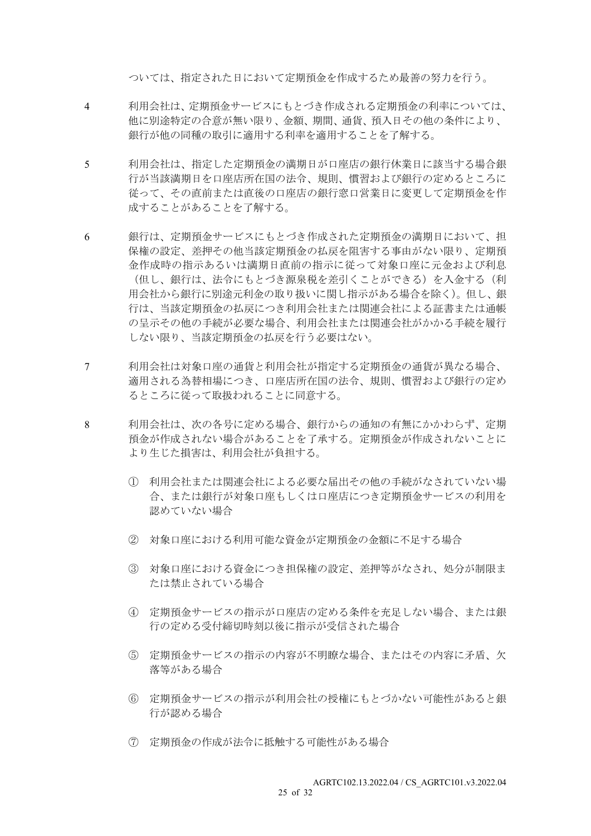ついては、指定された日において定期預金を作成するため最善の努力を行う。

- 4 利用会社は、定期預金サービスにもとづき作成される定期預金の利率については、 他に別途特定の合意が無い限り、金額、期間、通貨、預入日その他の条件により、 銀行が他の同種の取引に適用する利率を適用することを了解する。
- 5 利用会社は、指定した定期預金の満期日が口座店の銀行休業日に該当する場合銀 行が当該満期日を口座店所在国の法令、規則、慣習および銀行の定めるところに 従って、その直前または直後の口座店の銀行窓口営業日に変更して定期預金を作 成することがあることを了解する。
- 6 銀行は、定期預金サービスにもとづき作成された定期預金の満期日において、担 保権の設定、差押その他当該定期預金の払戻を阻害する事由がない限り、定期預 金作成時の指示あるいは満期日直前の指示に従って対象口座に元金および利息 (但し、銀行は、法令にもとづき源泉税を差引くことができる)を入金する(利 用会社から銀行に別途元利金の取り扱いに関し指示がある場合を除く)。但し、銀 行は、当該定期預金の払戻につき利用会社または関連会社による証書または通帳 の呈示その他の手続が必要な場合、利用会社または関連会社がかかる手続を履行 しない限り、当該定期預金の払戻を行う必要はない。
- 7 利用会社は対象口座の通貨と利用会社が指定する定期預金の通貨が異なる場合、 適用される為替相場につき、口座店所在国の法令、規則、慣習および銀行の定め るところに従って取扱われることに同意する。
- 8 利用会社は、次の各号に定める場合、銀行からの通知の有無にかかわらず、定期 預金が作成されない場合があることを了承する。定期預金が作成されないことに より生じた損害は、利用会社が負担する。
	- ① 利用会社または関連会社による必要な届出その他の手続がなされていない場 合、または銀行が対象口座もしくは口座店につき定期預金サービスの利用を 認めていない場合
	- ② 対象口座における利用可能な資金が定期預金の金額に不足する場合
	- ③ 対象口座における資金につき担保権の設定、差押等がなされ、処分が制限ま たは禁止されている場合
	- ④ 定期預金サービスの指示が口座店の定める条件を充足しない場合、または銀 行の定める受付締切時刻以後に指示が受信された場合
	- ⑤ 定期預金サービスの指示の内容が不明瞭な場合、またはその内容に矛盾、欠 落等がある場合
	- ⑥ 定期預金サービスの指示が利用会社の授権にもとづかない可能性があると銀 行が認める場合
	- ⑦ 定期預金の作成が法令に抵触する可能性がある場合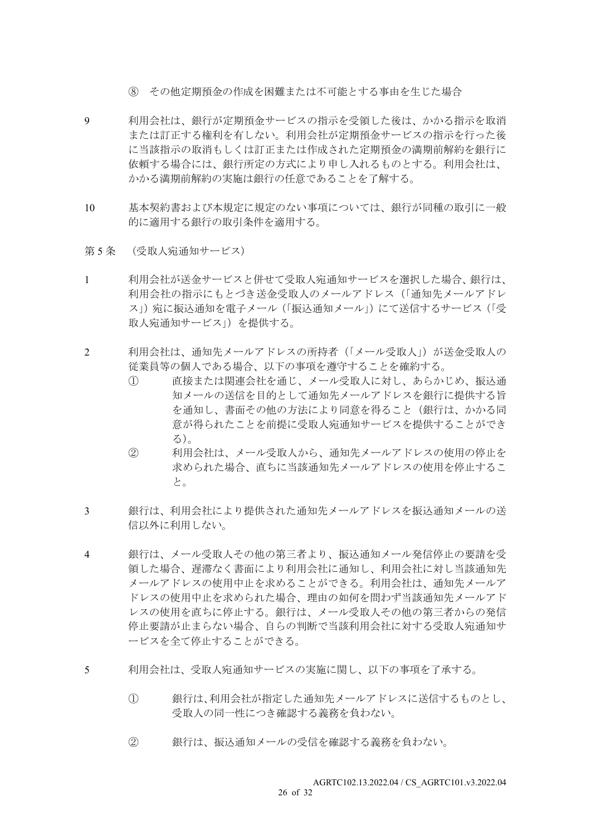- ⑧ その他定期預金の作成を困難または不可能とする事由を生じた場合
- 9 利用会社は、銀行が定期預金サービスの指示を受領した後は、かかる指示を取消 または訂正する権利を有しない。利用会社が定期預金サービスの指示を行った後 に当該指示の取消もしくは訂正または作成された定期預金の満期前解約を銀行に 依頼する場合には、銀行所定の方式により申し入れるものとする。利用会社は、 かかる満期前解約の実施は銀行の任意であることを了解する。
- 10 基本契約書および本規定に規定のない事項については、銀行が同種の取引に一般 的に適用する銀行の取引条件を適用する。
- 第5条 (受取人宛通知サービス)
- 1 利用会社が送金サービスと併せて受取人宛通知サービスを選択した場合、銀行は、 利用会社の指示にもとづき送金受取人のメールアドレス(「通知先メールアドレ ス」)宛に振込通知を電子メール(「振込通知メール」)にて送信するサービス(「受 取人宛通知サービス」)を提供する。
- 2 利用会社は、通知先メールアドレスの所持者(「メール受取人」)が送金受取人の 従業員等の個人である場合、以下の事項を遵守することを確約する。
	- ① 直接または関連会社を通じ、メール受取人に対し、あらかじめ、振込通 知メールの送信を目的として通知先メールアドレスを銀行に提供する旨 を通知し、書面その他の方法により同意を得ること(銀行は、かかる同 意が得られたことを前提に受取人宛通知サービスを提供することができ る)。
	- ② 利用会社は、メール受取人から、通知先メールアドレスの使用の停止を 求められた場合、直ちに当該通知先メールアドレスの使用を停止するこ と。
- 3 銀行は、利用会社により提供された通知先メールアドレスを振込通知メールの送 信以外に利用しない。
- 4 銀行は、メール受取人その他の第三者より、振込通知メール発信停止の要請を受 領した場合、遅滞なく書面により利用会社に通知し、利用会社に対し当該通知先 メールアドレスの使用中止を求めることができる。利用会社は、通知先メールア ドレスの使用中止を求められた場合、理由の如何を問わず当該通知先メールアド レスの使用を直ちに停止する。銀行は、メール受取人その他の第三者からの発信 停止要請が止まらない場合、自らの判断で当該利用会社に対する受取人宛通知サ ービスを全て停止することができる。
- 5 利用会社は、受取人宛通知サービスの実施に関し、以下の事項を了承する。
	- ① 銀行は、利用会社が指定した通知先メールアドレスに送信するものとし、 受取人の同一性につき確認する義務を負わない。
	- ② 銀行は、振込通知メールの受信を確認する義務を負わない。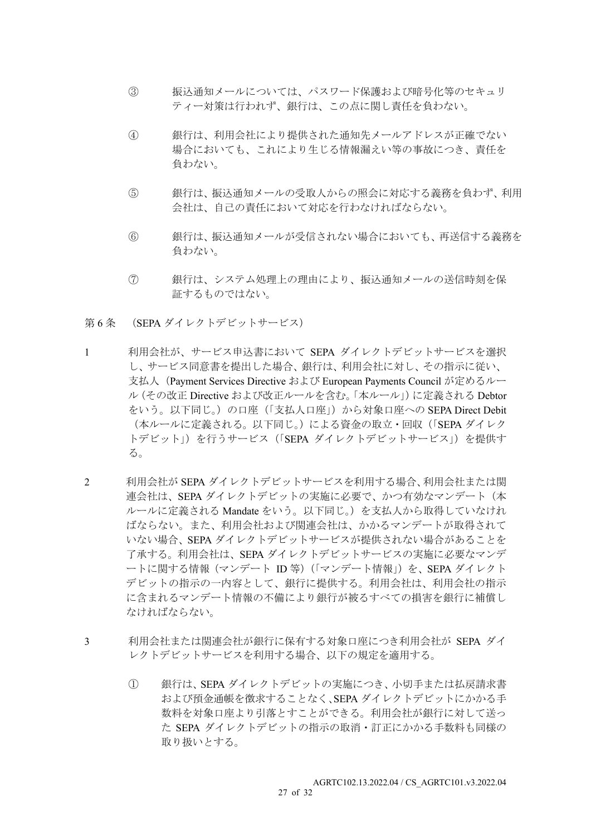- ③ 振込通知メールについては、パスワード保護および暗号化等のセキュリ ティー対策は行われず、銀行は、この点に関し責任を負わない。
- ④ 銀行は、利用会社により提供された通知先メールアドレスが正確でない 場合においても、これにより生じる情報漏えい等の事故につき、責任を 負わない。
- ⑤ 銀行は、振込通知メールの受取人からの照会に対応する義務を負わず、利用 会社は、自己の責任において対応を行わなければならない。
- ⑥ 銀行は、振込通知メールが受信されない場合においても、再送信する義務を 負わない。
- ⑦ 銀行は、システム処理上の理由により、振込通知メールの送信時刻を保 証するものではない。
- 第 6 条 (SEPA ダイレクトデビットサービス)
- 1 利用会社が、サービス申込書において SEPA ダイレクトデビットサービスを選択 し、サービス同意書を提出した場合、銀行は、利用会社に対し、その指示に従い、 支払人(Payment Services Directive および European Payments Council が定めるルー ル(その改正 Directive および改正ルールを含む。「本ルール」)に定義される Debtor をいう。以下同じ。)の口座(「支払人口座」)から対象口座への SEPA Direct Debit (本ルールに定義される。以下同じ。)による資金の取立・回収(「SEPA ダイレク トデビット」)を行うサービス (「SEPA ダイレクトデビットサービス」)を提供す る。
- 2 利用会社が SEPA ダイレクトデビットサービスを利用する場合、利用会社または関 連会社は、SEPA ダイレクトデビットの実施に必要で、かつ有効なマンデート(本 ルールに定義される Mandate をいう。以下同じ。)を支払人から取得していなけれ ばならない。また、利用会社および関連会社は、かかるマンデートが取得されて いない場合、SEPA ダイレクトデビットサービスが提供されない場合があることを 了承する。利用会社は、SEPA ダイレクトデビットサービスの実施に必要なマンデ ートに関する情報(マンデート ID 等)(「マンデート情報」)を、SEPA ダイレクト デビットの指示の一内容として、銀行に提供する。利用会社は、利用会社の指示 に含まれるマンデート情報の不備により銀行が被るすべての損害を銀行に補償し なければならない。
- 3 利用会社または関連会社が銀行に保有する対象口座につき利用会社が SEPA ダイ レクトデビットサービスを利用する場合、以下の規定を適用する。
	- ① 銀行は、SEPA ダイレクトデビットの実施につき、小切手または払戻請求書 および預金通帳を徴求することなく、SEPA ダイレクトデビットにかかる手 数料を対象口座より引落とすことができる。利用会社が銀行に対して送っ た SEPA ダイレクトデビットの指示の取消・訂正にかかる手数料も同様の 取り扱いとする。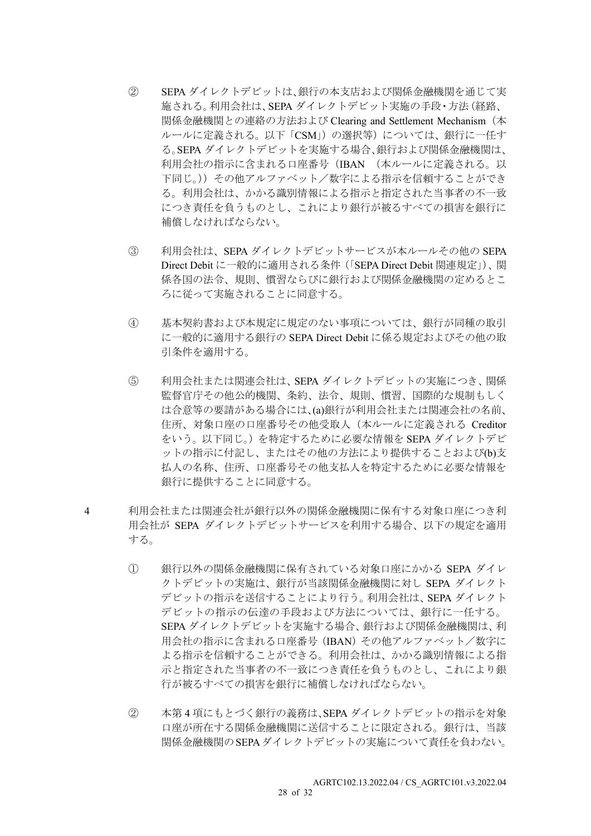- ② SEPA ダイレクトデビットは、銀行の本支店および関係金融機関を通じて実 施される。利用会社は、SEPA ダイレクトデビット実施の手段・方法(経路、 関係金融機関との連絡の方法および Clearing and Settlement Mechanism(本 ルールに定義される。以下「CSM」)の選択等)については、銀行に一任す る。SEPA ダイレクトデビットを実施する場合、銀行および関係金融機関は、 利用会社の指示に含まれる口座番号(IBAN (本ルールに定義される。以 下同じ。))その他アルファベット/数字による指示を信頼することができ る。利用会社は、かかる識別情報による指示と指定された当事者の不一致 につき責任を負うものとし、これにより銀行が被るすべての損害を銀行に 補償しなければならない。
- ③ 利用会社は、SEPA ダイレクトデビットサービスが本ルールその他の SEPA Direct Debit に一般的に適用される条件(「SEPA Direct Debit 関連規定」)、関 係各国の法令、規則、慣習ならびに銀行および関係金融機関の定めるとこ ろに従って実施されることに同意する。
- ④ 基本契約書および本規定に規定のない事項については、銀行が同種の取引 に一般的に適用する銀行の SEPA Direct Debit に係る規定およびその他の取 引条件を適用する。
- ⑤ 利用会社または関連会社は、SEPA ダイレクトデビットの実施につき、関係 監督官庁その他公的機関、条約、法令、規則、慣習、国際的な規制もしく は合意等の要請がある場合には、(a)銀行が利用会社または関連会社の名前、 住所、対象口座の口座番号その他受取人(本ルールに定義される Creditor をいう。以下同じ。)を特定するために必要な情報を SEPA ダイレクトデビ ットの指示に付記し、またはその他の方法により提供することおよび(b)支 払人の名称、住所、口座番号その他支払人を特定するために必要な情報を 銀行に提供することに同意する。
- 4 利用会社または関連会社が銀行以外の関係金融機関に保有する対象口座につき利 用会社が SEPA ダイレクトデビットサービスを利用する場合、以下の規定を適用 する。
	- ① 銀行以外の関係金融機関に保有されている対象口座にかかる SEPA ダイレ クトデビットの実施は、銀行が当該関係金融機関に対し SEPA ダイレクト デビットの指示を送信することにより行う。利用会社は、SEPA ダイレクト デビットの指示の伝達の手段および方法については、銀行に一任する。 SEPA ダイレクトデビットを実施する場合、銀行および関係金融機関は、利 用会社の指示に含まれる口座番号(IBAN)その他アルファベット/数字に よる指示を信頼することができる。利用会社は、かかる識別情報による指 示と指定された当事者の不一致につき責任を負うものとし、これにより銀 行が被るすべての損害を銀行に補償しなければならない。
	- ② 本第 4 項にもとづく銀行の義務は、SEPA ダイレクトデビットの指示を対象 口座が所在する関係金融機関に送信することに限定される。銀行は、当該 関係金融機関のSEPAダイレクトデビットの実施について責任を負わない。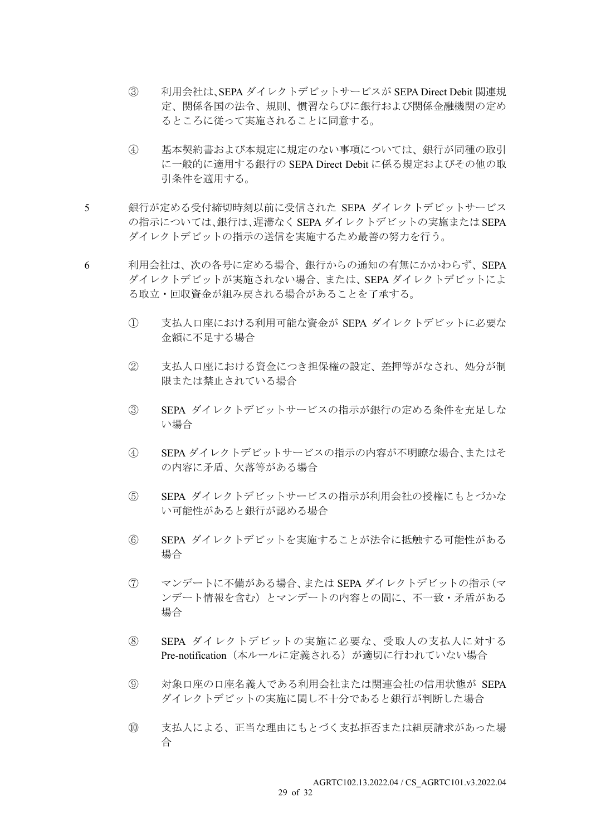- ③ 利用会社は、SEPA ダイレクトデビットサービスが SEPA Direct Debit 関連規 定、関係各国の法令、規則、慣習ならびに銀行および関係金融機関の定め るところに従って実施されることに同意する。
- ④ 基本契約書および本規定に規定のない事項については、銀行が同種の取引 に一般的に適用する銀行の SEPA Direct Debit に係る規定およびその他の取 引条件を適用する。
- 5 銀行が定める受付締切時刻以前に受信された SEPA ダイレクトデビットサービス の指示については、銀行は、遅滞なく SEPA ダイレクトデビットの実施または SEPA ダイレクトデビットの指示の送信を実施するため最善の努力を行う。
- 6 利用会社は、次の各号に定める場合、銀行からの通知の有無にかかわらず、SEPA ダイレクトデビットが実施されない場合、または、SEPA ダイレクトデビットによ る取立・回収資金が組み戻される場合があることを了承する。
	- ① 支払人口座における利用可能な資金が SEPA ダイレクトデビットに必要な 金額に不足する場合
	- ② 支払人口座における資金につき担保権の設定、差押等がなされ、処分が制 限または禁止されている場合
	- ③ SEPA ダイレクトデビットサービスの指示が銀行の定める条件を充足しな い場合
	- ④ SEPA ダイレクトデビットサービスの指示の内容が不明瞭な場合、またはそ の内容に矛盾、欠落等がある場合
	- ⑤ SEPA ダイレクトデビットサービスの指示が利用会社の授権にもとづかな い可能性があると銀行が認める場合
	- ⑥ SEPA ダイレクトデビットを実施することが法令に抵触する可能性がある 場合
	- ⑦ マンデートに不備がある場合、または SEPA ダイレクトデビットの指示(マ ンデート情報を含む)とマンデートの内容との間に、不一致・矛盾がある 場合
	- ⑧ SEPA ダイレクトデビットの実施に必要な、受取人の支払人に対する Pre-notification (本ルールに定義される)が適切に行われていない場合
	- ⑨ 対象口座の口座名義人である利用会社または関連会社の信用状態が SEPA ダイレクトデビットの実施に関し不十分であると銀行が判断した場合
	- ⑩ 支払人による、正当な理由にもとづく支払拒否または組戻請求があった場 合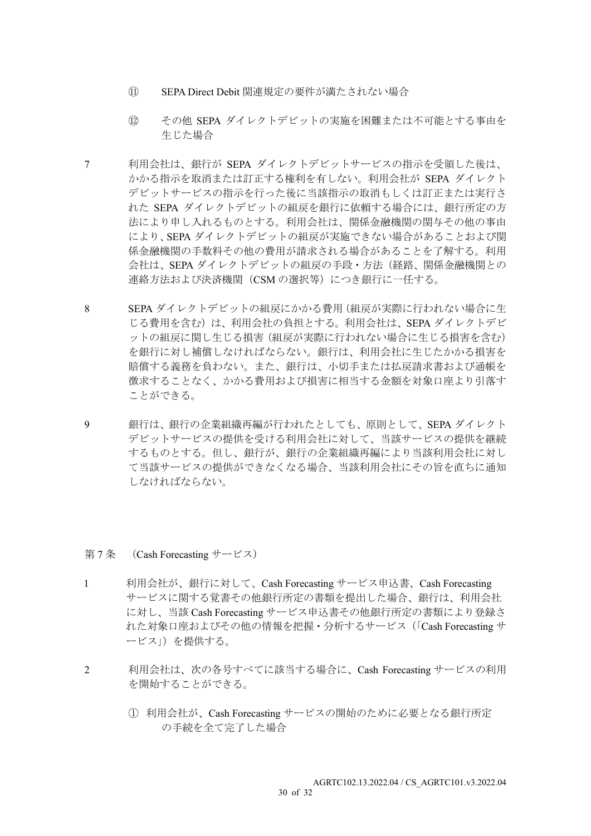- ⑪ SEPA Direct Debit 関連規定の要件が満たされない場合
- ⑫ その他 SEPA ダイレクトデビットの実施を困難または不可能とする事由を 生じた場合
- 7 利用会社は、銀行が SEPA ダイレクトデビットサービスの指示を受領した後は、 かかる指示を取消または訂正する権利を有しない。利用会社が SEPA ダイレクト デビットサービスの指示を行った後に当該指示の取消もしくは訂正または実行さ れた SEPA ダイレクトデビットの組戻を銀行に依頼する場合には、銀行所定の方 法により申し入れるものとする。利用会社は、関係金融機関の関与その他の事由 により、SEPA ダイレクトデビットの組戻が実施できない場合があることおよび関 係金融機関の手数料その他の費用が請求される場合があることを了解する。利用 会社は、SEPA ダイレクトデビットの組戻の手段・方法(経路、関係金融機関との 連絡方法および決済機関 (CSM の選択等) につき銀行に一任する。
- 8 SEPA ダイレクトデビットの組戻にかかる費用(組戻が実際に行われない場合に生 じる費用を含む)は、利用会社の負担とする。利用会社は、SEPA ダイレクトデビ ットの組戻に関し生じる損害(組戻が実際に行われない場合に生じる損害を含む) を銀行に対し補償しなければならない。銀行は、利用会社に生じたかかる損害を 賠償する義務を負わない。また、銀行は、小切手または払戻請求書および通帳を 徴求することなく、かかる費用および損害に相当する金額を対象口座より引落す ことができる。
- 9 銀行は、銀行の企業組織再編が行われたとしても、原則として、SEPA ダイレクト デビットサービスの提供を受ける利用会社に対して、当該サービスの提供を継続 するものとする。但し、銀行が、銀行の企業組織再編により当該利用会社に対し て当該サービスの提供ができなくなる場合、当該利用会社にその旨を直ちに通知 しなければならない。

#### 第 7 条 (Cash Forecasting サービス)

- 1 利用会社が、銀行に対して、Cash Forecasting サービス申込書、Cash Forecasting サービスに関する覚書その他銀行所定の書類を提出した場合、銀行は、利用会社 に対し、当該 Cash Forecasting サービス申込書その他銀行所定の書類により登録さ れた対象口座およびその他の情報を把握・分析するサービス(「Cash Forecasting サ ービス」)を提供する。
- 2 利用会社は、次の各号すべてに該当する場合に、Cash Forecasting サービスの利用 を開始することができる。
	- ① 利用会社が、Cash Forecasting サービスの開始のために必要となる銀行所定 の手続を全て完了した場合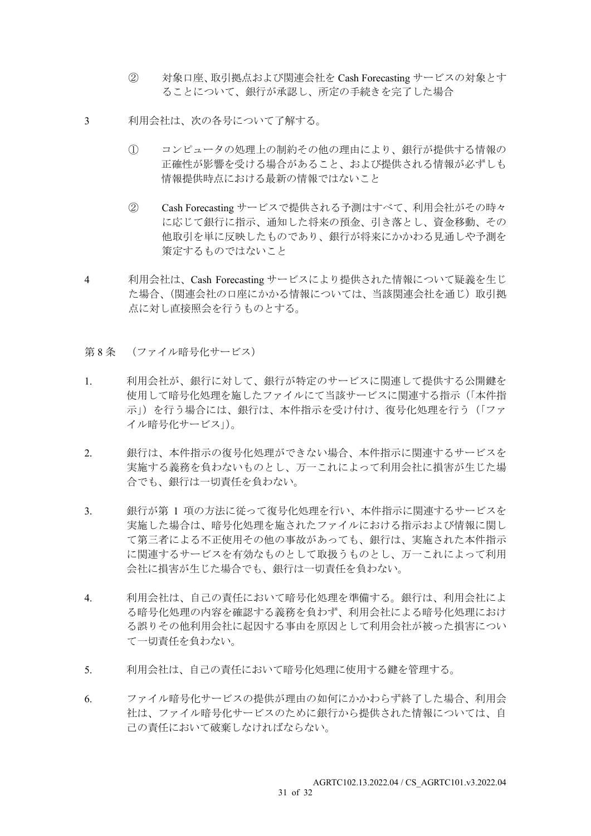- ② 対象口座、取引拠点および関連会社を Cash Forecasting サービスの対象とす ることについて、銀行が承認し、所定の手続きを完了した場合
- 3 利用会社は、次の各号について了解する。
	- ① コンピュータの処理上の制約その他の理由により、銀行が提供する情報の 正確性が影響を受ける場合があること、および提供される情報が必ずしも 情報提供時点における最新の情報ではないこと
	- ② Cash Forecasting サービスで提供される予測はすべて、利用会社がその時々 に応じて銀行に指示、通知した将来の預金、引き落とし、資金移動、その 他取引を単に反映したものであり、銀行が将来にかかわる見通しや予測を 策定するものではないこと
- 4 利用会社は、Cash Forecasting サービスにより提供された情報について疑義を生じ た場合、(関連会社の口座にかかる情報については、当該関連会社を通じ)取引拠 点に対し直接照会を行うものとする。
- 第8条 (ファイル暗号化サービス)
- 1. 利用会社が、銀行に対して、銀行が特定のサービスに関連して提供する公開鍵を 使用して暗号化処理を施したファイルにて当該サービスに関連する指示(「本件指 示」)を行う場合には、銀行は、本件指示を受け付け、復号化処理を行う(「ファ イル暗号化サービス」)。
- 2. 銀行は、本件指示の復号化処理ができない場合、本件指示に関連するサービスを 実施する義務を負わないものとし、万一これによって利用会社に損害が生じた場 合でも、銀行は一切責任を負わない。
- 3. 観行が第 1 項の方法に従って復号化処理を行い、本件指示に関連するサービスを 実施した場合は、暗号化処理を施されたファイルにおける指示および情報に関し て第三者による不正使用その他の事故があっても、銀行は、実施された本件指示 に関連するサービスを有効なものとして取扱うものとし、万一これによって利用 会社に損害が生じた場合でも、銀行は一切責任を負わない。
- 4. 利用会社は、自己の責任において暗号化処理を準備する。銀行は、利用会社によ る暗号化処理の内容を確認する義務を負わず、利用会社による暗号化処理におけ る誤りその他利用会社に起因する事由を原因として利用会社が被った損害につい て一切責任を負わない。
- 5. 利用会社は、自己の責任において暗号化処理に使用する鍵を管理する。
- 6. ファイル暗号化サービスの提供が理由の如何にかかわらず終了した場合、利用会 社は、ファイル暗号化サービスのために銀行から提供された情報については、自 己の責任において破棄しなければならない。